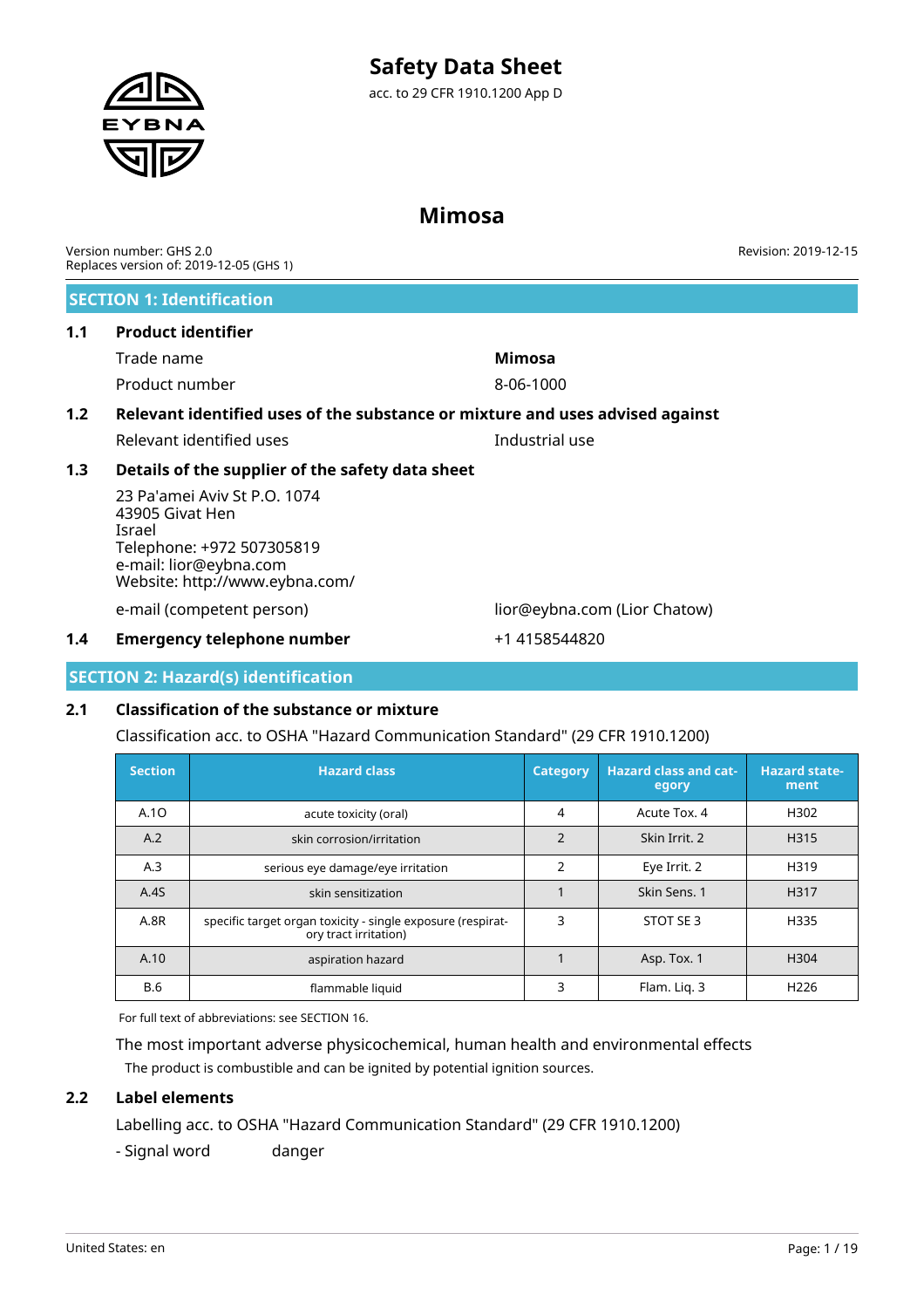# **Mimosa**

Version number: GHS 2.0 Replaces version of: 2019-12-05 (GHS 1)

### **SECTION 1: Identification**

### **1.1 Product identifier**

| Trade name     | Mimosa    |
|----------------|-----------|
| Product number | 8-06-1000 |

# **1.2 Relevant identified uses of the substance or mixture and uses advised against**

Relevant identified uses **Industrial** use

### **1.3 Details of the supplier of the safety data sheet**

23 Pa'amei Aviv St P.O. 1074 43905 Givat Hen Israel Telephone: +972 507305819 e-mail: lior@eybna.com Website: http://www.eybna.com/

e-mail (competent person) lior@eybna.com (Lior Chatow)

### **1.4 Emergency telephone number** +1 4158544820

### **SECTION 2: Hazard(s) identification**

### **2.1 Classification of the substance or mixture**

Classification acc. to OSHA "Hazard Communication Standard" (29 CFR 1910.1200)

| <b>Section</b> | <b>Hazard class</b>                                                                  | <b>Category</b> | <b>Hazard class and cat-</b><br>egory | <b>Hazard state-</b><br>ment |
|----------------|--------------------------------------------------------------------------------------|-----------------|---------------------------------------|------------------------------|
| A.10           | acute toxicity (oral)                                                                | 4               | Acute Tox, 4                          | H302                         |
| A.2            | skin corrosion/irritation                                                            | $\mathfrak{D}$  | Skin Irrit. 2                         | H315                         |
| A.3            | serious eye damage/eye irritation                                                    | $\overline{2}$  | Eye Irrit. 2                          | H319                         |
| A.4S           | skin sensitization                                                                   |                 | Skin Sens. 1                          | H317                         |
| A.8R           | specific target organ toxicity - single exposure (respirat-<br>ory tract irritation) | 3               | STOT SE 3                             | H335                         |
| A.10           | aspiration hazard                                                                    |                 | Asp. Tox. 1                           | H <sub>304</sub>             |
| <b>B.6</b>     | flammable liquid                                                                     | 3               | Flam. Lig. 3                          | H <sub>226</sub>             |

For full text of abbreviations: see SECTION 16.

The most important adverse physicochemical, human health and environmental effects The product is combustible and can be ignited by potential ignition sources.

### **2.2 Label elements**

Labelling acc. to OSHA "Hazard Communication Standard" (29 CFR 1910.1200)

- Signal word danger



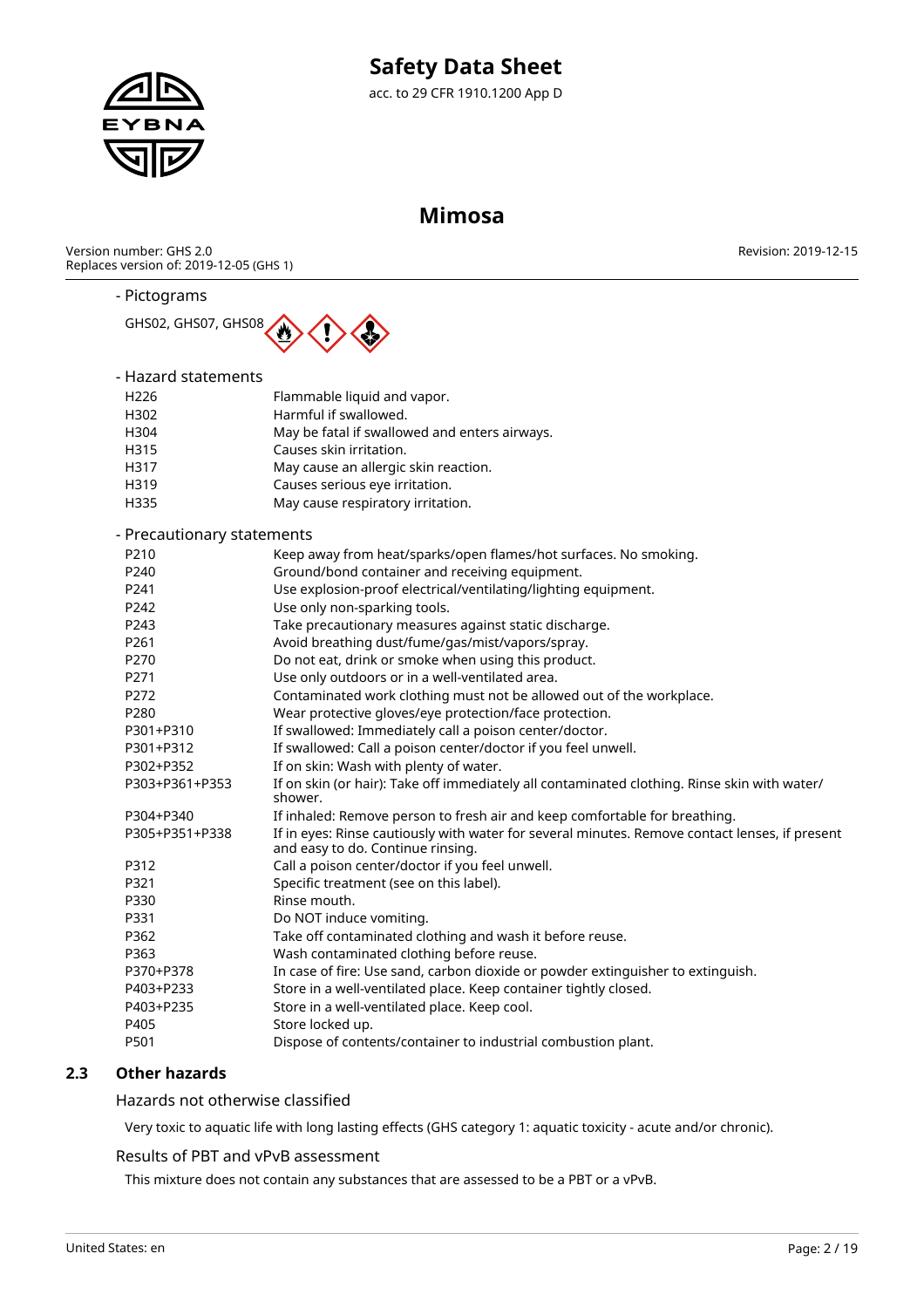

# **Mimosa**

Version number: GHS 2.0 Replaces version of: 2019-12-05 (GHS 1) Revision: 2019-12-15

### - Pictograms



### - Hazard statements

| H <sub>226</sub> | Flammable liquid and vapor.                   |
|------------------|-----------------------------------------------|
| H302             | Harmful if swallowed.                         |
| H304             | May be fatal if swallowed and enters airways. |
| H315             | Causes skin irritation.                       |
| H317             | May cause an allergic skin reaction.          |
| H319             | Causes serious eye irritation.                |
| H335             | May cause respiratory irritation.             |
|                  |                                               |

### - Precautionary statements

| P210           | Keep away from heat/sparks/open flames/hot surfaces. No smoking.                                                                    |
|----------------|-------------------------------------------------------------------------------------------------------------------------------------|
| P240           | Ground/bond container and receiving equipment.                                                                                      |
| P241           | Use explosion-proof electrical/ventilating/lighting equipment.                                                                      |
| P242           | Use only non-sparking tools.                                                                                                        |
| P243           | Take precautionary measures against static discharge.                                                                               |
| P261           | Avoid breathing dust/fume/gas/mist/vapors/spray.                                                                                    |
| P270           | Do not eat, drink or smoke when using this product.                                                                                 |
| P271           | Use only outdoors or in a well-ventilated area.                                                                                     |
| P272           | Contaminated work clothing must not be allowed out of the workplace.                                                                |
| P280           | Wear protective gloves/eye protection/face protection.                                                                              |
| P301+P310      | If swallowed: Immediately call a poison center/doctor.                                                                              |
| P301+P312      | If swallowed: Call a poison center/doctor if you feel unwell.                                                                       |
| P302+P352      | If on skin: Wash with plenty of water.                                                                                              |
| P303+P361+P353 | If on skin (or hair): Take off immediately all contaminated clothing. Rinse skin with water/<br>shower.                             |
| P304+P340      | If inhaled: Remove person to fresh air and keep comfortable for breathing.                                                          |
| P305+P351+P338 | If in eyes: Rinse cautiously with water for several minutes. Remove contact lenses, if present<br>and easy to do. Continue rinsing. |
| P312           | Call a poison center/doctor if you feel unwell.                                                                                     |
| P321           | Specific treatment (see on this label).                                                                                             |
| P330           | Rinse mouth.                                                                                                                        |
| P331           | Do NOT induce vomiting.                                                                                                             |
| P362           | Take off contaminated clothing and wash it before reuse.                                                                            |
| P363           | Wash contaminated clothing before reuse.                                                                                            |
| P370+P378      | In case of fire: Use sand, carbon dioxide or powder extinguisher to extinguish.                                                     |
| P403+P233      | Store in a well-ventilated place. Keep container tightly closed.                                                                    |
| P403+P235      | Store in a well-ventilated place. Keep cool.                                                                                        |
| P405           | Store locked up.                                                                                                                    |
| P501           | Dispose of contents/container to industrial combustion plant.                                                                       |
|                |                                                                                                                                     |

### **2.3 Other hazards**

Hazards not otherwise classified

Very toxic to aquatic life with long lasting effects (GHS category 1: aquatic toxicity - acute and/or chronic).

### Results of PBT and vPvB assessment

This mixture does not contain any substances that are assessed to be a PBT or a vPvB.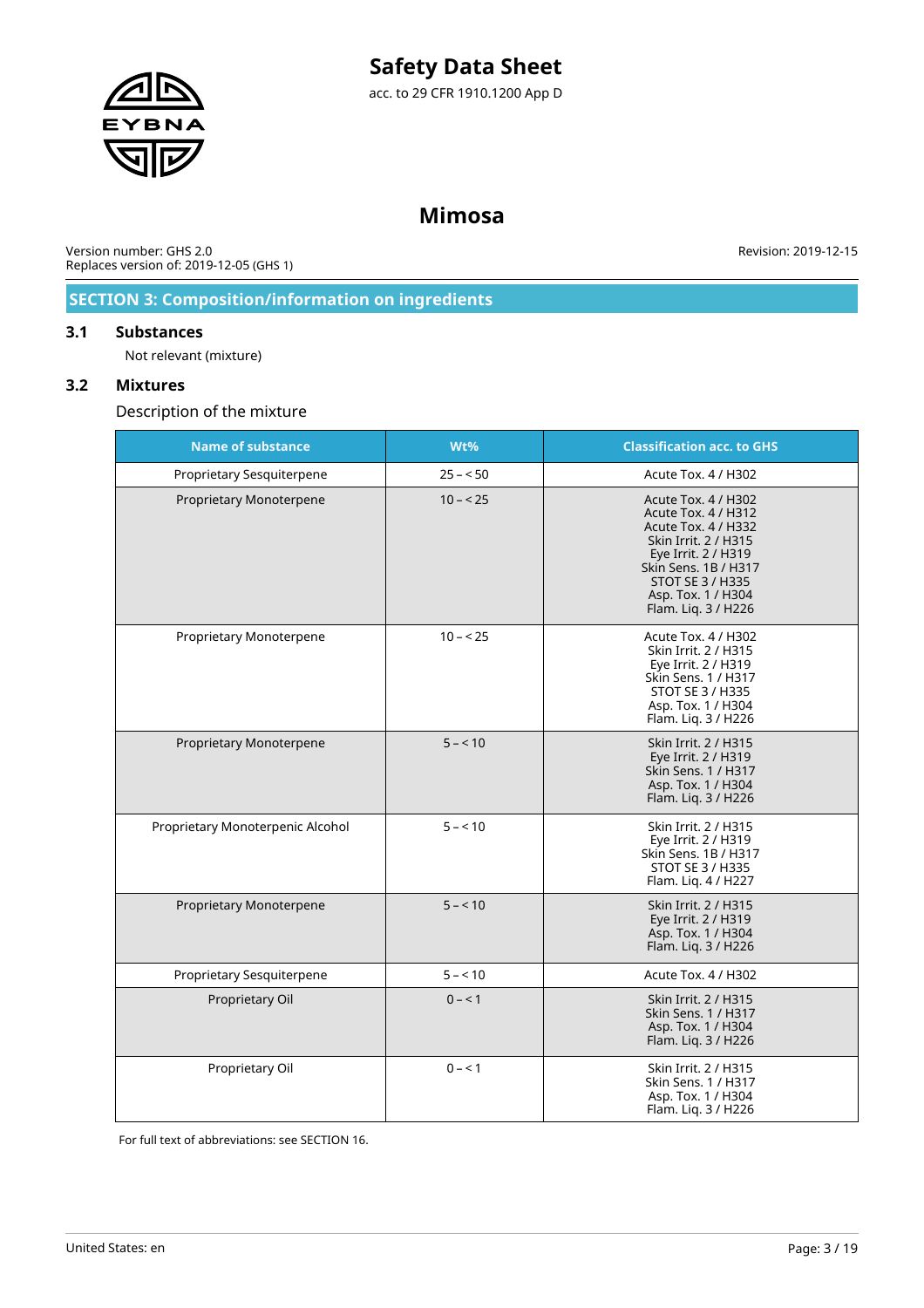

# **Mimosa**

Version number: GHS 2.0 Replaces version of: 2019-12-05 (GHS 1)

Revision: 2019-12-15

### **SECTION 3: Composition/information on ingredients**

### **3.1 Substances**

Not relevant (mixture)

### **3.2 Mixtures**

Description of the mixture

| <b>Name of substance</b>         | Wt%       | <b>Classification acc. to GHS</b>                                                                                                                                                                                |
|----------------------------------|-----------|------------------------------------------------------------------------------------------------------------------------------------------------------------------------------------------------------------------|
| Proprietary Sesquiterpene        | $25 - 50$ | Acute Tox. 4 / H302                                                                                                                                                                                              |
| Proprietary Monoterpene          | $10 - 25$ | Acute Tox. 4 / H302<br>Acute Tox. 4 / H312<br>Acute Tox. 4 / H332<br>Skin Irrit. 2 / H315<br>Eye Irrit. 2 / H319<br>Skin Sens. 1B / H317<br><b>STOT SE 3 / H335</b><br>Asp. Tox. 1 / H304<br>Flam. Liq. 3 / H226 |
| Proprietary Monoterpene          | $10 - 25$ | Acute Tox. 4 / H302<br>Skin Irrit. 2 / H315<br>Eye Irrit. 2 / H319<br>Skin Sens. 1 / H317<br>STOT SE 3 / H335<br>Asp. Tox. 1 / H304<br>Flam. Liq. 3 / H226                                                       |
| Proprietary Monoterpene          | $5 - 10$  | Skin Irrit. 2 / H315<br>Eye Irrit. 2 / H319<br>Skin Sens. 1 / H317<br>Asp. Tox. 1 / H304<br>Flam. Liq. 3 / H226                                                                                                  |
| Proprietary Monoterpenic Alcohol | $5 - 10$  | Skin Irrit. 2 / H315<br>Eye Irrit. 2 / H319<br>Skin Sens, 1B / H317<br><b>STOT SE 3 / H335</b><br>Flam. Liq. 4 / H227                                                                                            |
| Proprietary Monoterpene          | $5 - 10$  | Skin Irrit. 2 / H315<br>Eye Irrit. 2 / H319<br>Asp. Tox. 1 / H304<br>Flam. Liq. 3 / H226                                                                                                                         |
| Proprietary Sesquiterpene        | $5 - 10$  | Acute Tox. 4 / H302                                                                                                                                                                                              |
| Proprietary Oil                  | $0 - 1$   | Skin Irrit. 2 / H315<br>Skin Sens. 1 / H317<br>Asp. Tox. 1 / H304<br>Flam. Liq. 3 / H226                                                                                                                         |
| Proprietary Oil                  | $0 - 1$   | Skin Irrit. 2 / H315<br>Skin Sens. 1 / H317<br>Asp. Tox. 1 / H304<br>Flam. Liq. 3 / H226                                                                                                                         |

For full text of abbreviations: see SECTION 16.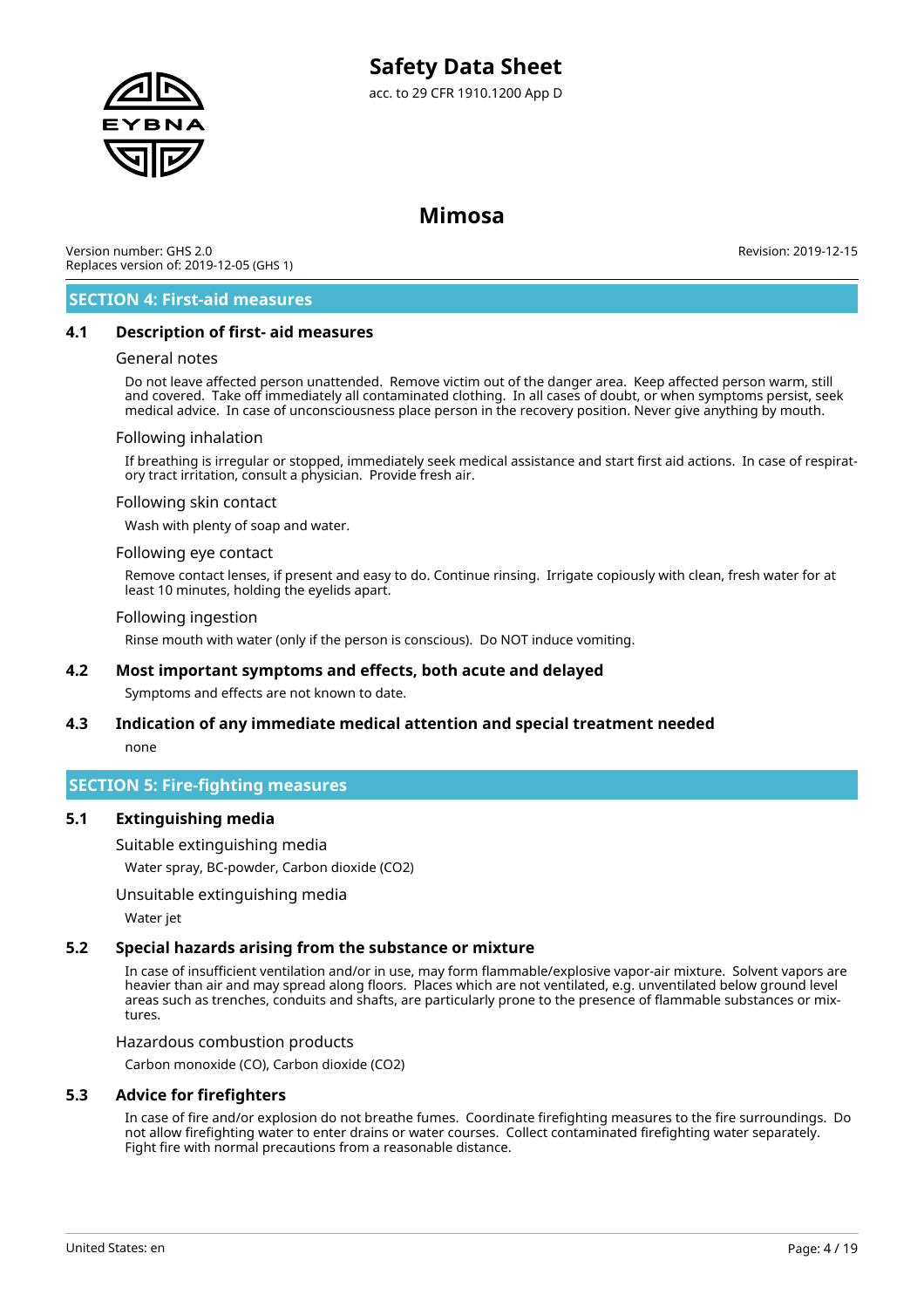

### **Mimosa**

Version number: GHS 2.0 Replaces version of: 2019-12-05 (GHS 1)

Revision: 2019-12-15

### **SECTION 4: First-aid measures**

### **4.1 Description of first- aid measures**

### General notes

Do not leave affected person unattended. Remove victim out of the danger area. Keep affected person warm, still and covered. Take off immediately all contaminated clothing. In all cases of doubt, or when symptoms persist, seek medical advice. In case of unconsciousness place person in the recovery position. Never give anything by mouth.

### Following inhalation

If breathing is irregular or stopped, immediately seek medical assistance and start first aid actions. In case of respiratory tract irritation, consult a physician. Provide fresh air.

### Following skin contact

Wash with plenty of soap and water.

### Following eye contact

Remove contact lenses, if present and easy to do. Continue rinsing. Irrigate copiously with clean, fresh water for at least 10 minutes, holding the eyelids apart.

### Following ingestion

Rinse mouth with water (only if the person is conscious). Do NOT induce vomiting.

### **4.2 Most important symptoms and effects, both acute and delayed**

Symptoms and effects are not known to date.

### **4.3 Indication of any immediate medical attention and special treatment needed**

none

### **SECTION 5: Fire-fighting measures**

### **5.1 Extinguishing media**

Suitable extinguishing media

Water spray, BC-powder, Carbon dioxide (CO2)

### Unsuitable extinguishing media

Water jet

### **5.2 Special hazards arising from the substance or mixture**

In case of insufficient ventilation and/or in use, may form flammable/explosive vapor-air mixture. Solvent vapors are heavier than air and may spread along floors. Places which are not ventilated, e.g. unventilated below ground level areas such as trenches, conduits and shafts, are particularly prone to the presence of flammable substances or mixtures.

### Hazardous combustion products

Carbon monoxide (CO), Carbon dioxide (CO2)

### **5.3 Advice for firefighters**

In case of fire and/or explosion do not breathe fumes. Coordinate firefighting measures to the fire surroundings. Do not allow firefighting water to enter drains or water courses. Collect contaminated firefighting water separately. Fight fire with normal precautions from a reasonable distance.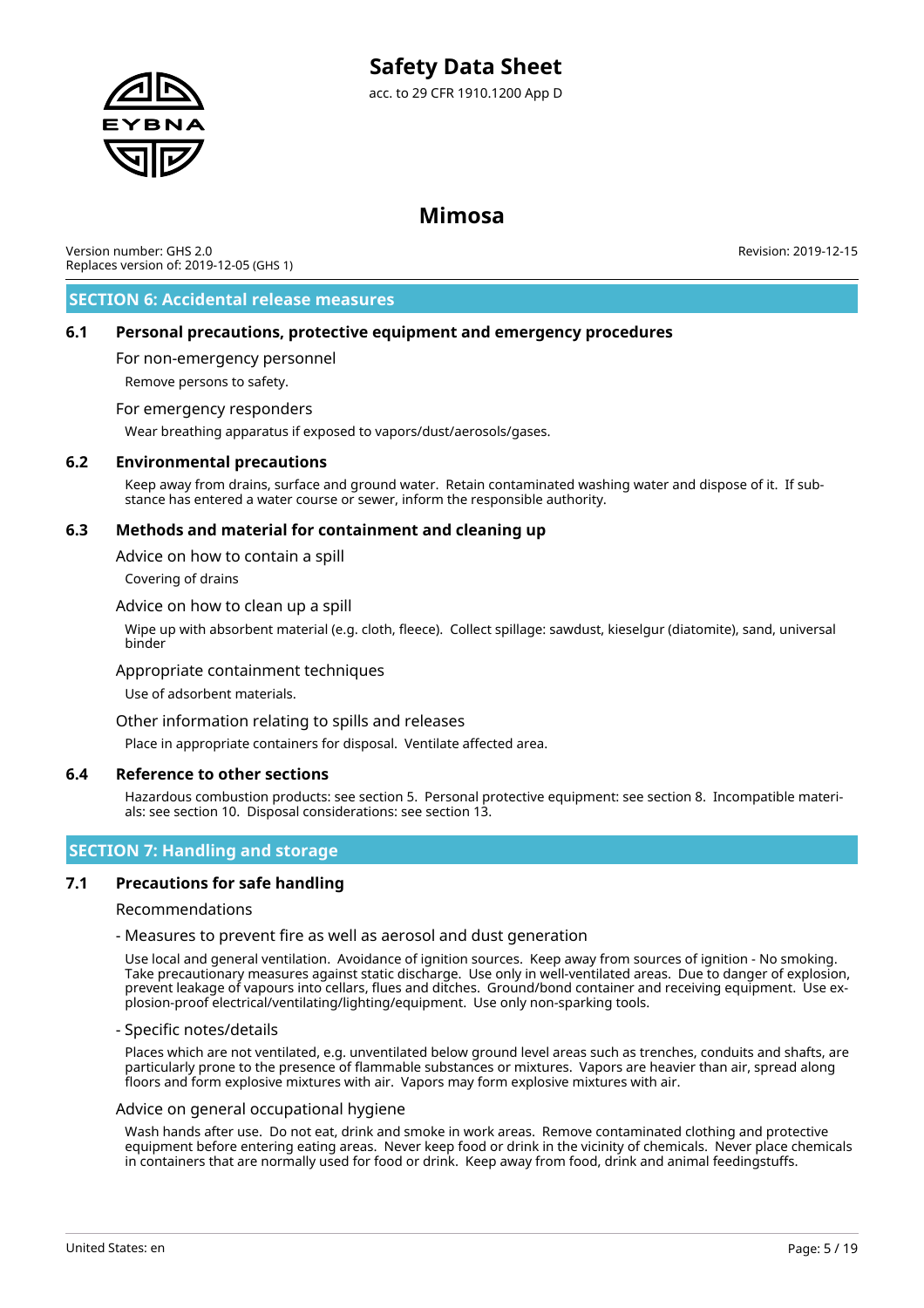

# **Mimosa**

Version number: GHS 2.0 Replaces version of: 2019-12-05 (GHS 1) Revision: 2019-12-15

### **SECTION 6: Accidental release measures**

### **6.1 Personal precautions, protective equipment and emergency procedures**

For non-emergency personnel

Remove persons to safety.

### For emergency responders

Wear breathing apparatus if exposed to vapors/dust/aerosols/gases.

### **6.2 Environmental precautions**

Keep away from drains, surface and ground water. Retain contaminated washing water and dispose of it. If substance has entered a water course or sewer, inform the responsible authority.

### **6.3 Methods and material for containment and cleaning up**

Advice on how to contain a spill

Covering of drains

### Advice on how to clean up a spill

Wipe up with absorbent material (e.g. cloth, fleece). Collect spillage: sawdust, kieselgur (diatomite), sand, universal binder

### Appropriate containment techniques

Use of adsorbent materials.

### Other information relating to spills and releases

Place in appropriate containers for disposal. Ventilate affected area.

### **6.4 Reference to other sections**

Hazardous combustion products: see section 5. Personal protective equipment: see section 8. Incompatible materials: see section 10. Disposal considerations: see section 13.

### **SECTION 7: Handling and storage**

### **7.1 Precautions for safe handling**

Recommendations

### - Measures to prevent fire as well as aerosol and dust generation

Use local and general ventilation. Avoidance of ignition sources. Keep away from sources of ignition - No smoking. Take precautionary measures against static discharge. Use only in well-ventilated areas. Due to danger of explosion, prevent leakage of vapours into cellars, flues and ditches. Ground/bond container and receiving equipment. Use explosion-proof electrical/ventilating/lighting/equipment. Use only non-sparking tools.

### - Specific notes/details

Places which are not ventilated, e.g. unventilated below ground level areas such as trenches, conduits and shafts, are particularly prone to the presence of flammable substances or mixtures. Vapors are heavier than air, spread along floors and form explosive mixtures with air. Vapors may form explosive mixtures with air.

### Advice on general occupational hygiene

Wash hands after use. Do not eat, drink and smoke in work areas. Remove contaminated clothing and protective equipment before entering eating areas. Never keep food or drink in the vicinity of chemicals. Never place chemicals in containers that are normally used for food or drink. Keep away from food, drink and animal feedingstuffs.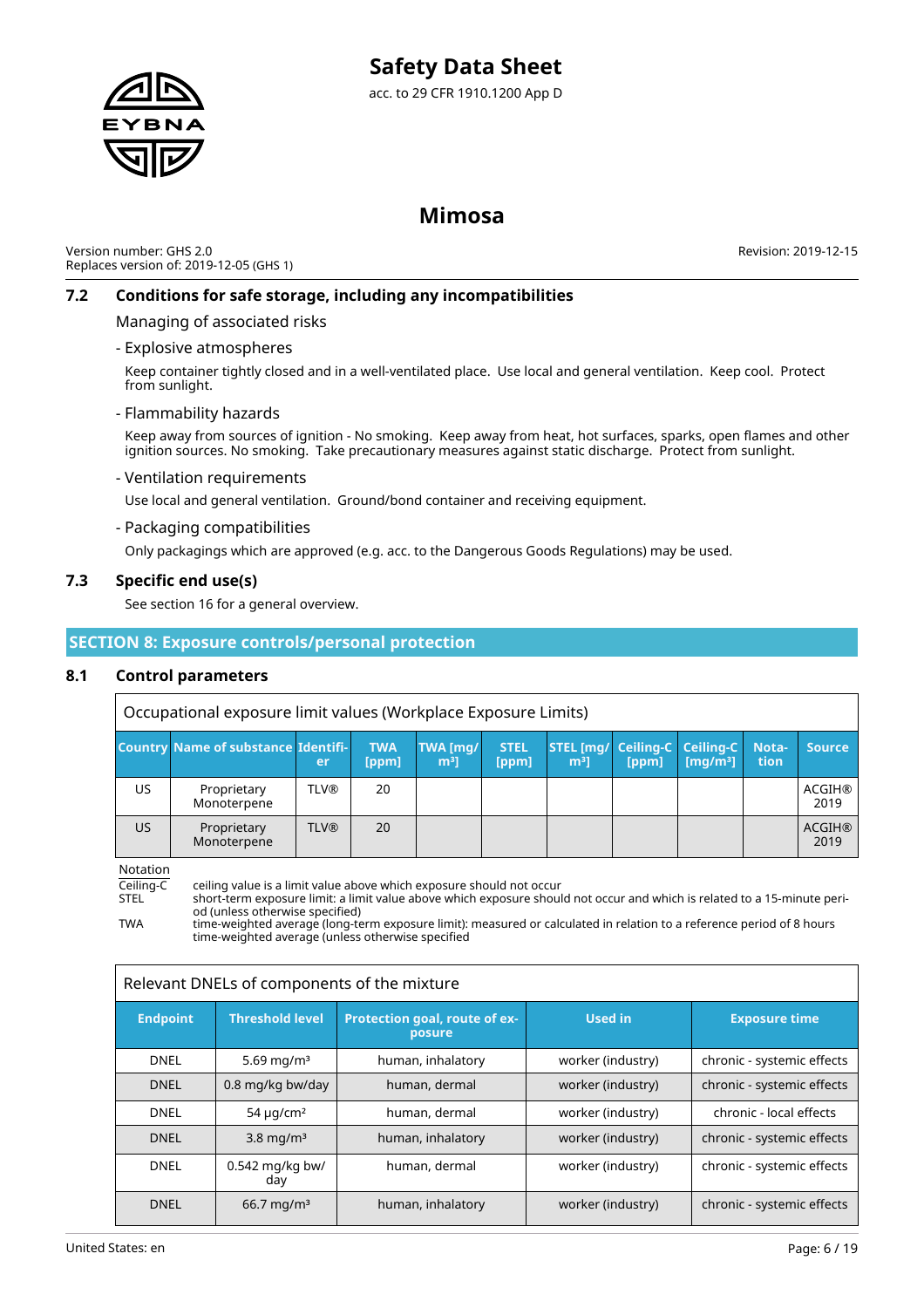

# **Mimosa**

Version number: GHS 2.0 Replaces version of: 2019-12-05 (GHS 1)

Revision: 2019-12-15

### **7.2 Conditions for safe storage, including any incompatibilities**

Managing of associated risks

### - Explosive atmospheres

Keep container tightly closed and in a well-ventilated place. Use local and general ventilation. Keep cool. Protect from sunlight.

### - Flammability hazards

Keep away from sources of ignition - No smoking. Keep away from heat, hot surfaces, sparks, open flames and other ignition sources. No smoking. Take precautionary measures against static discharge. Protect from sunlight.

### - Ventilation requirements

Use local and general ventilation. Ground/bond container and receiving equipment.

### - Packaging compatibilities

Only packagings which are approved (e.g. acc. to the Dangerous Goods Regulations) may be used.

### **7.3 Specific end use(s)**

See section 16 for a general overview.

### **SECTION 8: Exposure controls/personal protection**

### **8.1 Control parameters**

|           | Occupational exposure limit values (Workplace Exposure Limits) |             |                     |                            |                      |                                                            |       |                                 |                      |                       |
|-----------|----------------------------------------------------------------|-------------|---------------------|----------------------------|----------------------|------------------------------------------------------------|-------|---------------------------------|----------------------|-----------------------|
|           | <b>Country Name of substance Identifi-</b>                     | er          | <b>TWA</b><br>[ppm] | TWA [mg/<br>m <sup>3</sup> | <b>STEL</b><br>[ppm] | <b>STEL [mg/ Ceiling-C   Ceiling-C  </b><br>m <sup>3</sup> | [ppm] | $\lceil \mathsf{mq/m^3} \rceil$ | Nota-<br><b>tion</b> | <b>Source</b>         |
| US.       | Proprietary<br>Monoterpene                                     | <b>TLV®</b> | 20                  |                            |                      |                                                            |       |                                 |                      | <b>ACGIH®</b><br>2019 |
| <b>US</b> | Proprietary<br>Monoterpene                                     | <b>TLV®</b> | 20                  |                            |                      |                                                            |       |                                 |                      | <b>ACGIH®</b><br>2019 |

Notation

Ceiling-C ceiling value is a limit value above which exposure should not occur<br>STEL short-term exposure limit: a limit value above which exposure shoul STEL short-term exposure limit: a limit value above which exposure should not occur and which is related to a 15-minute period (unless otherwise specified)

TWA time-weighted average (long-term exposure limit): measured or calculated in relation to a reference period of 8 hours time-weighted average (unless otherwise specified

| Relevant DNELs of components of the mixture |  |  |  |
|---------------------------------------------|--|--|--|
|                                             |  |  |  |

| <b>Endpoint</b> | <b>Threshold level</b>     | Protection goal, route of ex-<br>posure | <b>Used in</b>    | <b>Exposure time</b>       |
|-----------------|----------------------------|-----------------------------------------|-------------------|----------------------------|
| <b>DNEL</b>     | 5.69 mg/m <sup>3</sup>     | human, inhalatory                       | worker (industry) | chronic - systemic effects |
| <b>DNEL</b>     | 0.8 mg/kg bw/day           | human, dermal                           | worker (industry) | chronic - systemic effects |
| <b>DNEL</b>     | 54 $\mu$ g/cm <sup>2</sup> | human, dermal                           | worker (industry) | chronic - local effects    |
| <b>DNEL</b>     | $3.8 \text{ mg/m}^3$       | human, inhalatory                       | worker (industry) | chronic - systemic effects |
| <b>DNEL</b>     | $0.542$ mg/kg bw/<br>day   | human, dermal                           | worker (industry) | chronic - systemic effects |
| <b>DNEL</b>     | $66.7 \,\mathrm{mq/m^3}$   | human, inhalatory                       | worker (industry) | chronic - systemic effects |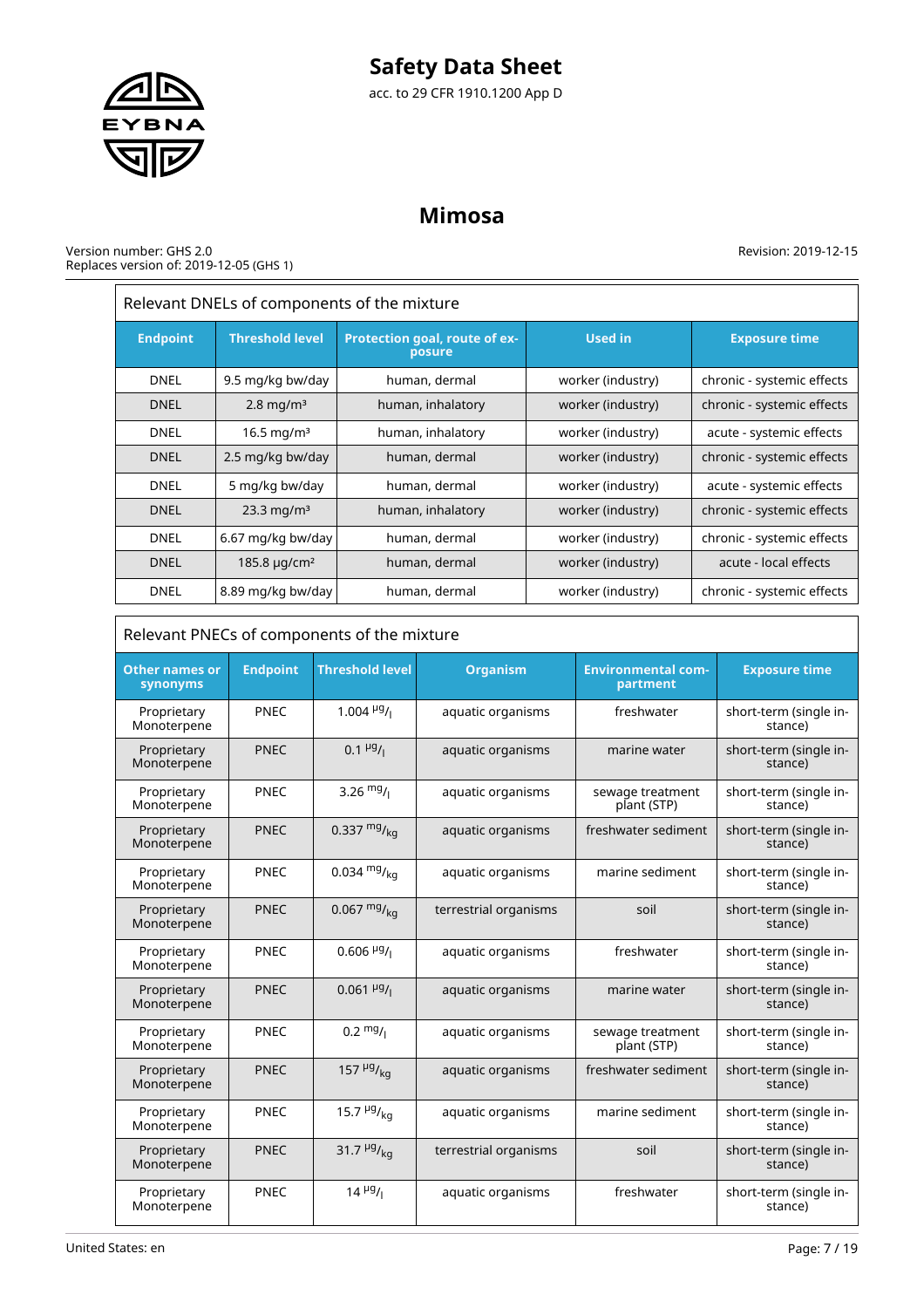# **Safety Data Sheet**

acc. to 29 CFR 1910.1200 App D

# **Mimosa**

### Version number: GHS 2.0 Replaces version of: 2019-12-05 (GHS 1)

Revision: 2019-12-15

 $\equiv$ 

| Relevant DNELs of components of the mixture |                               |                                         |                   |                            |  |  |
|---------------------------------------------|-------------------------------|-----------------------------------------|-------------------|----------------------------|--|--|
| <b>Endpoint</b>                             | <b>Threshold level</b>        | Protection goal, route of ex-<br>posure | <b>Used in</b>    | <b>Exposure time</b>       |  |  |
| <b>DNEL</b>                                 | 9.5 mg/kg bw/day              | human, dermal                           | worker (industry) | chronic - systemic effects |  |  |
| <b>DNEL</b>                                 | $2.8 \,\mathrm{mg/m^3}$       | human, inhalatory                       | worker (industry) | chronic - systemic effects |  |  |
| <b>DNEL</b>                                 | 16.5 mg/m <sup>3</sup>        | human, inhalatory                       | worker (industry) | acute - systemic effects   |  |  |
| <b>DNEL</b>                                 | 2.5 mg/kg bw/day              | human, dermal                           | worker (industry) | chronic - systemic effects |  |  |
| <b>DNEL</b>                                 | 5 mg/kg bw/day                | human, dermal                           | worker (industry) | acute - systemic effects   |  |  |
| <b>DNEL</b>                                 | 23.3 mg/m <sup>3</sup>        | human, inhalatory                       | worker (industry) | chronic - systemic effects |  |  |
| <b>DNEL</b>                                 | 6.67 mg/kg bw/day             | human, dermal                           | worker (industry) | chronic - systemic effects |  |  |
| <b>DNEL</b>                                 | 185.8 $\mu$ g/cm <sup>2</sup> | human, dermal                           | worker (industry) | acute - local effects      |  |  |
| <b>DNEL</b>                                 | 8.89 mg/kg bw/day             | human, dermal                           | worker (industry) | chronic - systemic effects |  |  |

### Relevant PNECs of components of the mixture

| <b>Other names or</b><br>synonyms | <b>Endpoint</b> | <b>Threshold level</b>                  | <b>Organism</b>       | <b>Environmental com-</b><br>partment | <b>Exposure time</b>              |
|-----------------------------------|-----------------|-----------------------------------------|-----------------------|---------------------------------------|-----------------------------------|
| Proprietary<br>Monoterpene        | PNEC            | 1.004 $\frac{\mu g}{I}$                 | aquatic organisms     | freshwater                            | short-term (single in-<br>stance) |
| Proprietary<br>Monoterpene        | <b>PNEC</b>     | $0.1 \frac{\mu g}{I}$                   | aquatic organisms     | marine water                          | short-term (single in-<br>stance) |
| Proprietary<br>Monoterpene        | PNEC            | 3.26 $mg/1$                             | aquatic organisms     | sewage treatment<br>plant (STP)       | short-term (single in-<br>stance) |
| Proprietary<br>Monoterpene        | <b>PNEC</b>     | 0.337 $mg/kq$                           | aquatic organisms     | freshwater sediment                   | short-term (single in-<br>stance) |
| Proprietary<br>Monoterpene        | PNEC            | 0.034 $mg/kq$                           | aquatic organisms     | marine sediment                       | short-term (single in-<br>stance) |
| Proprietary<br>Monoterpene        | <b>PNEC</b>     | $0.067 \frac{mg}{ka}$                   | terrestrial organisms | soil                                  | short-term (single in-<br>stance) |
| Proprietary<br>Monoterpene        | PNEC            | $0.606$ <sup>µg</sup> / <sub>1</sub>    | aquatic organisms     | freshwater                            | short-term (single in-<br>stance) |
| Proprietary<br>Monoterpene        | <b>PNEC</b>     | $0.061 \frac{\mu g}{\mu}$               | aquatic organisms     | marine water                          | short-term (single in-<br>stance) |
| Proprietary<br>Monoterpene        | PNEC            | $0.2 \frac{mg}{l}$                      | aquatic organisms     | sewage treatment<br>plant (STP)       | short-term (single in-<br>stance) |
| Proprietary<br>Monoterpene        | <b>PNEC</b>     | 157 $\frac{\mu g}{kq}$                  | aquatic organisms     | freshwater sediment                   | short-term (single in-<br>stance) |
| Proprietary<br>Monoterpene        | PNEC            | 15.7 $\mu$ g/ <sub>kg</sub>             | aquatic organisms     | marine sediment                       | short-term (single in-<br>stance) |
| Proprietary<br>Monoterpene        | <b>PNEC</b>     | 31.7 $\mu$ <sup>g</sup> / <sub>kg</sub> | terrestrial organisms | soil                                  | short-term (single in-<br>stance) |
| Proprietary<br>Monoterpene        | PNEC            | $14 \frac{\mu g}{I}$                    | aquatic organisms     | freshwater                            | short-term (single in-<br>stance) |



 $\overline{r}$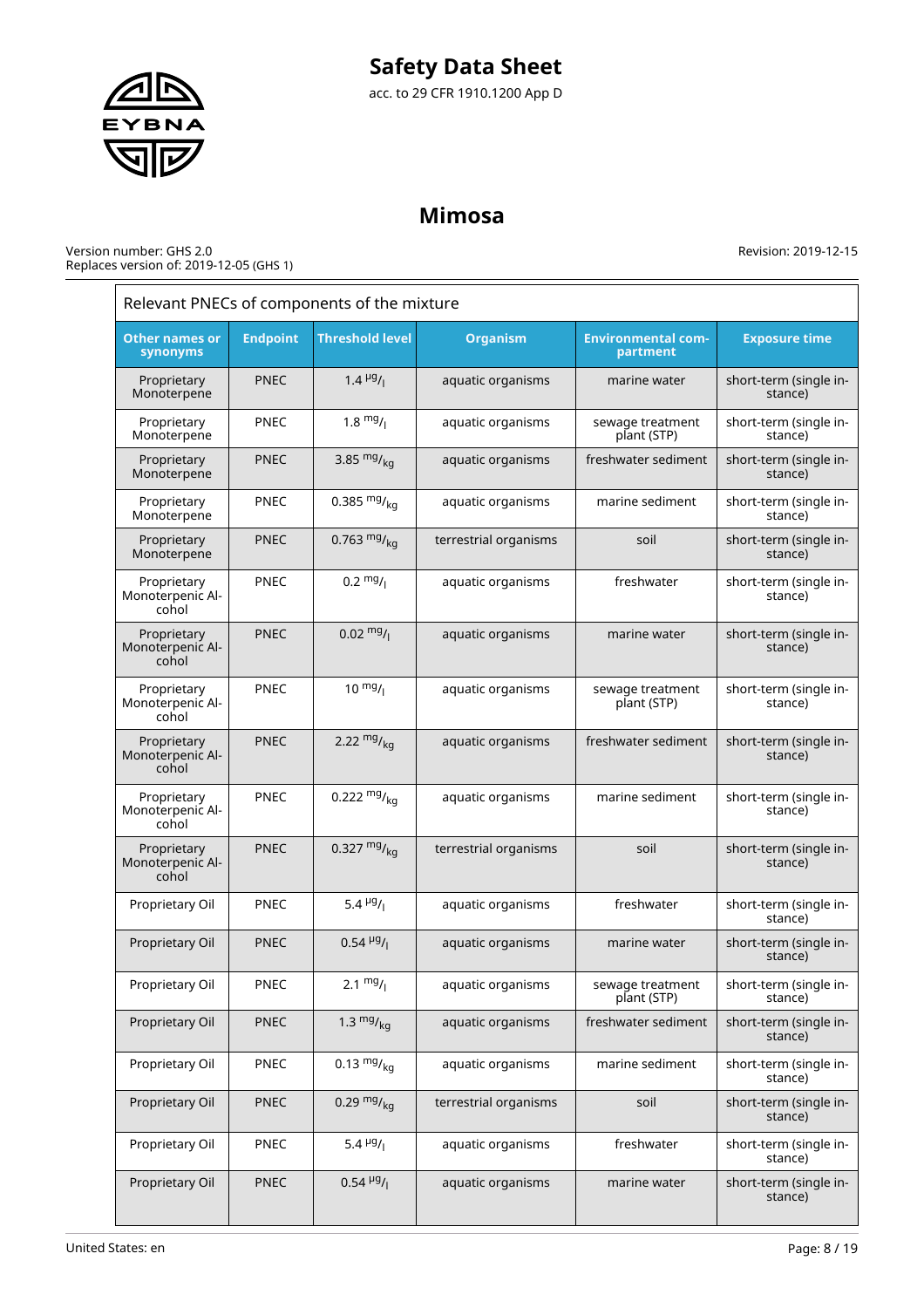# **Safety Data Sheet**

acc. to 29 CFR 1910.1200 App D

# **Mimosa**

| Relevant PNECs of components of the mixture |                 |                                       |                       |                                       |                                   |  |  |
|---------------------------------------------|-----------------|---------------------------------------|-----------------------|---------------------------------------|-----------------------------------|--|--|
| <b>Other names or</b><br>synonyms           | <b>Endpoint</b> | <b>Threshold level</b>                | <b>Organism</b>       | <b>Environmental com-</b><br>partment | <b>Exposure time</b>              |  |  |
| Proprietary<br>Monoterpene                  | <b>PNEC</b>     | $1.4 \frac{\mu g}{I}$                 | aquatic organisms     | marine water                          | short-term (single in-<br>stance) |  |  |
| Proprietary<br>Monoterpene                  | PNEC            | $1.8 \frac{mg}{l}$                    | aquatic organisms     | sewage treatment<br>plant (STP)       | short-term (single in-<br>stance) |  |  |
| Proprietary<br>Monoterpene                  | <b>PNEC</b>     | 3.85 $mg/kq$                          | aquatic organisms     | freshwater sediment                   | short-term (single in-<br>stance) |  |  |
| Proprietary<br>Monoterpene                  | <b>PNEC</b>     | 0.385 $mg/kq$                         | aquatic organisms     | marine sediment                       | short-term (single in-<br>stance) |  |  |
| Proprietary<br>Monoterpene                  | <b>PNEC</b>     | 0.763 $mg/kq$                         | terrestrial organisms | soil                                  | short-term (single in-<br>stance) |  |  |
| Proprietary<br>Monoterpenic Al-<br>cohol    | PNEC            | $0.2 \frac{mg}{l}$                    | aquatic organisms     | freshwater                            | short-term (single in-<br>stance) |  |  |
| Proprietary<br>Monoterpenic Al-<br>cohol    | <b>PNEC</b>     | $0.02 \frac{mg}{l}$                   | aquatic organisms     | marine water                          | short-term (single in-<br>stance) |  |  |
| Proprietary<br>Monoterpenic Al-<br>cohol    | PNEC            | $10^{mg}$ /                           | aquatic organisms     | sewage treatment<br>plant (STP)       | short-term (single in-<br>stance) |  |  |
| Proprietary<br>Monoterpenic Al-<br>cohol    | <b>PNEC</b>     | 2.22 $mg/kq$                          | aquatic organisms     | freshwater sediment                   | short-term (single in-<br>stance) |  |  |
| Proprietary<br>Monoterpenic Al-<br>cohol    | <b>PNEC</b>     | 0.222 $mg/_{ka}$                      | aquatic organisms     | marine sediment                       | short-term (single in-<br>stance) |  |  |
| Proprietary<br>Monoterpenic Al-<br>cohol    | <b>PNEC</b>     | 0.327 $mg/kq$                         | terrestrial organisms | soil                                  | short-term (single in-<br>stance) |  |  |
| Proprietary Oil                             | <b>PNEC</b>     | 5.4 $\mu$ g/                          | aquatic organisms     | freshwater                            | short-term (single in-<br>stance) |  |  |
| Proprietary Oil                             | <b>PNEC</b>     | $0.54 \frac{\mu g}{I}$                | aquatic organisms     | marine water                          | short-term (single in-<br>stance) |  |  |
| Proprietary Oil                             | PNEC            | 2.1 $mg/1$                            | aquatic organisms     | sewage treatment<br>plant (STP)       | short-term (single in-<br>stance) |  |  |
| Proprietary Oil                             | <b>PNEC</b>     | 1.3 $mg/_{ka}$                        | aquatic organisms     | freshwater sediment                   | short-term (single in-<br>stance) |  |  |
| Proprietary Oil                             | PNEC            | 0.13 $mg/kq$                          | aquatic organisms     | marine sediment                       | short-term (single in-<br>stance) |  |  |
| Proprietary Oil                             | <b>PNEC</b>     | 0.29 $mg/kq$                          | terrestrial organisms | soil                                  | short-term (single in-<br>stance) |  |  |
| Proprietary Oil                             | <b>PNEC</b>     | 5.4 $\mu$ <sup>g</sup> / <sub>1</sub> | aquatic organisms     | freshwater                            | short-term (single in-<br>stance) |  |  |
| Proprietary Oil                             | <b>PNEC</b>     | $0.54 \frac{\mu g}{I}$                | aquatic organisms     | marine water                          | short-term (single in-<br>stance) |  |  |

Revision: 2019-12-15

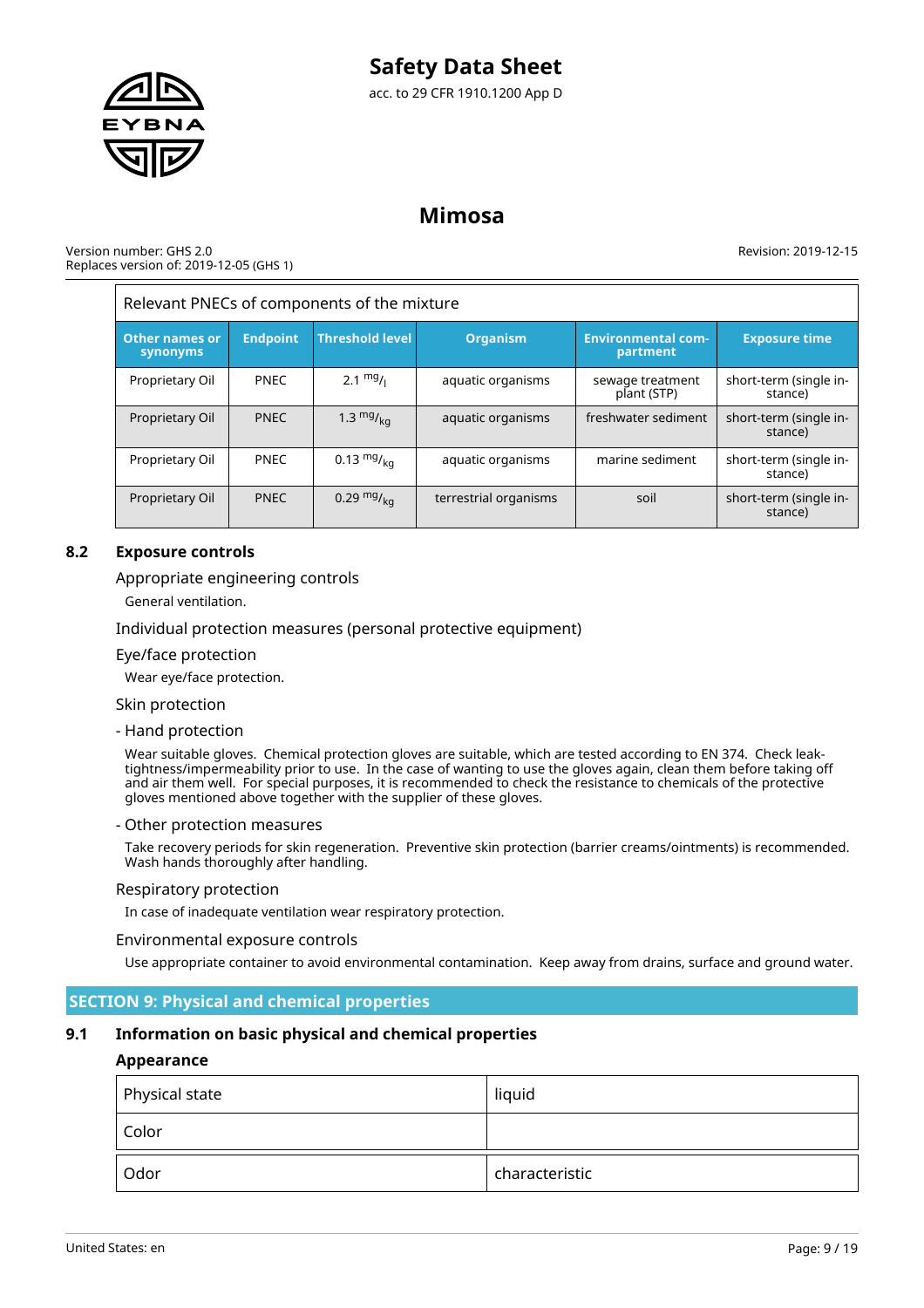

### **Mimosa**

### Version number: GHS 2.0 Replaces version of: 2019-12-05 (GHS 1)

Revision: 2019-12-15

| Relevant PNECs of components of the mixture |                 |                        |                       |                                       |                                   |  |  |
|---------------------------------------------|-----------------|------------------------|-----------------------|---------------------------------------|-----------------------------------|--|--|
| <b>Other names or</b><br>synonyms           | <b>Endpoint</b> | <b>Threshold level</b> | <b>Organism</b>       | <b>Environmental com-</b><br>partment | <b>Exposure time</b>              |  |  |
| Proprietary Oil                             | <b>PNEC</b>     | $2.1 \frac{mg}{l}$     | aquatic organisms     | sewage treatment<br>plant (STP)       | short-term (single in-<br>stance) |  |  |
| Proprietary Oil                             | <b>PNEC</b>     | 1.3 $mg/kq$            | aquatic organisms     | freshwater sediment                   | short-term (single in-<br>stance) |  |  |
| Proprietary Oil                             | <b>PNEC</b>     | $0.13 \frac{mg}{ka}$   | aquatic organisms     | marine sediment                       | short-term (single in-<br>stance) |  |  |
| Proprietary Oil                             | <b>PNEC</b>     | 0.29 $mg/kq$           | terrestrial organisms | soil                                  | short-term (single in-<br>stance) |  |  |

### **8.2 Exposure controls**

### Appropriate engineering controls

General ventilation.

### Individual protection measures (personal protective equipment)

### Eye/face protection

Wear eye/face protection.

### Skin protection

### - Hand protection

Wear suitable gloves. Chemical protection gloves are suitable, which are tested according to EN 374. Check leaktightness/impermeability prior to use. In the case of wanting to use the gloves again, clean them before taking off and air them well. For special purposes, it is recommended to check the resistance to chemicals of the protective gloves mentioned above together with the supplier of these gloves.

### - Other protection measures

Take recovery periods for skin regeneration. Preventive skin protection (barrier creams/ointments) is recommended. Wash hands thoroughly after handling.

### Respiratory protection

In case of inadequate ventilation wear respiratory protection.

### Environmental exposure controls

Use appropriate container to avoid environmental contamination. Keep away from drains, surface and ground water.

### **SECTION 9: Physical and chemical properties**

### **9.1 Information on basic physical and chemical properties**

### **Appearance**

| $^\mathrm{!}$ Physical state | liquid         |
|------------------------------|----------------|
| Color                        |                |
| Odor                         | characteristic |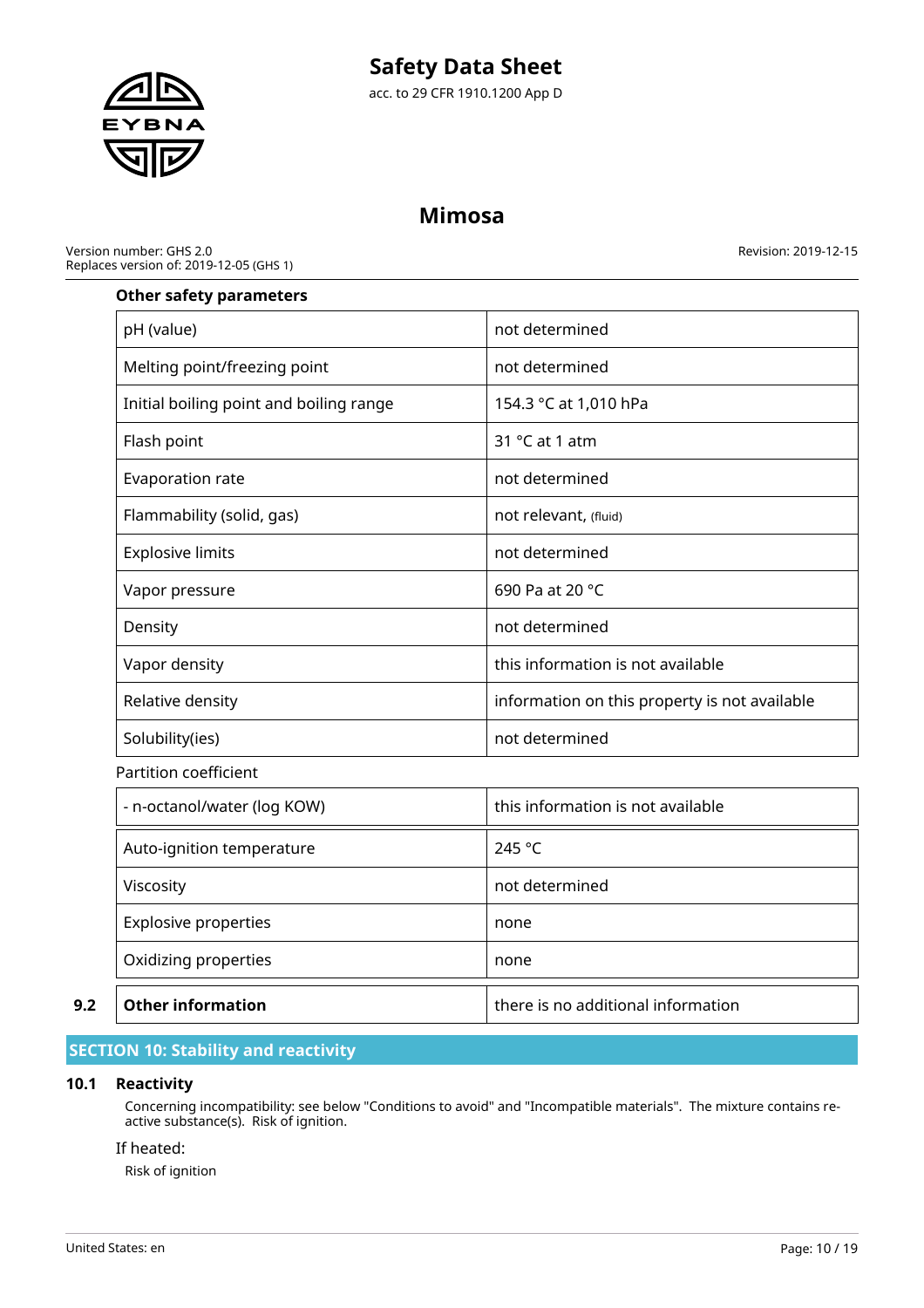

# **Mimosa**

Version number: GHS 2.0 Replaces version of: 2019-12-05 (GHS 1) Revision: 2019-12-15

### **Other safety parameters**

| pH (value)                              | not determined                                |
|-----------------------------------------|-----------------------------------------------|
| Melting point/freezing point            | not determined                                |
| Initial boiling point and boiling range | 154.3 °C at 1,010 hPa                         |
| Flash point                             | 31 $°C$ at 1 atm                              |
| Evaporation rate                        | not determined                                |
| Flammability (solid, gas)               | not relevant, (fluid)                         |
| <b>Explosive limits</b>                 | not determined                                |
| Vapor pressure                          | 690 Pa at 20 °C                               |
| Density                                 | not determined                                |
| Vapor density                           | this information is not available             |
| Relative density                        | information on this property is not available |
| Solubility(ies)                         | not determined                                |
| Partition coefficient                   |                                               |

# - n-octanol/water (log KOW) and this information is not available Auto-ignition temperature 245 °C Viscosity **Nitricial Contract Contract Contract Contract Contract Contract Contract Contract Contract Contract Contract Contract Contract Contract Contract Contract Contract Contract Contract Contract Contract Contract Con** Explosive properties and a none Oxidizing properties and none **9.2 Other information there is no additional information**

# **SECTION 10: Stability and reactivity**

### **10.1 Reactivity**

Concerning incompatibility: see below "Conditions to avoid" and "Incompatible materials". The mixture contains reactive substance(s). Risk of ignition.

### If heated:

Risk of ignition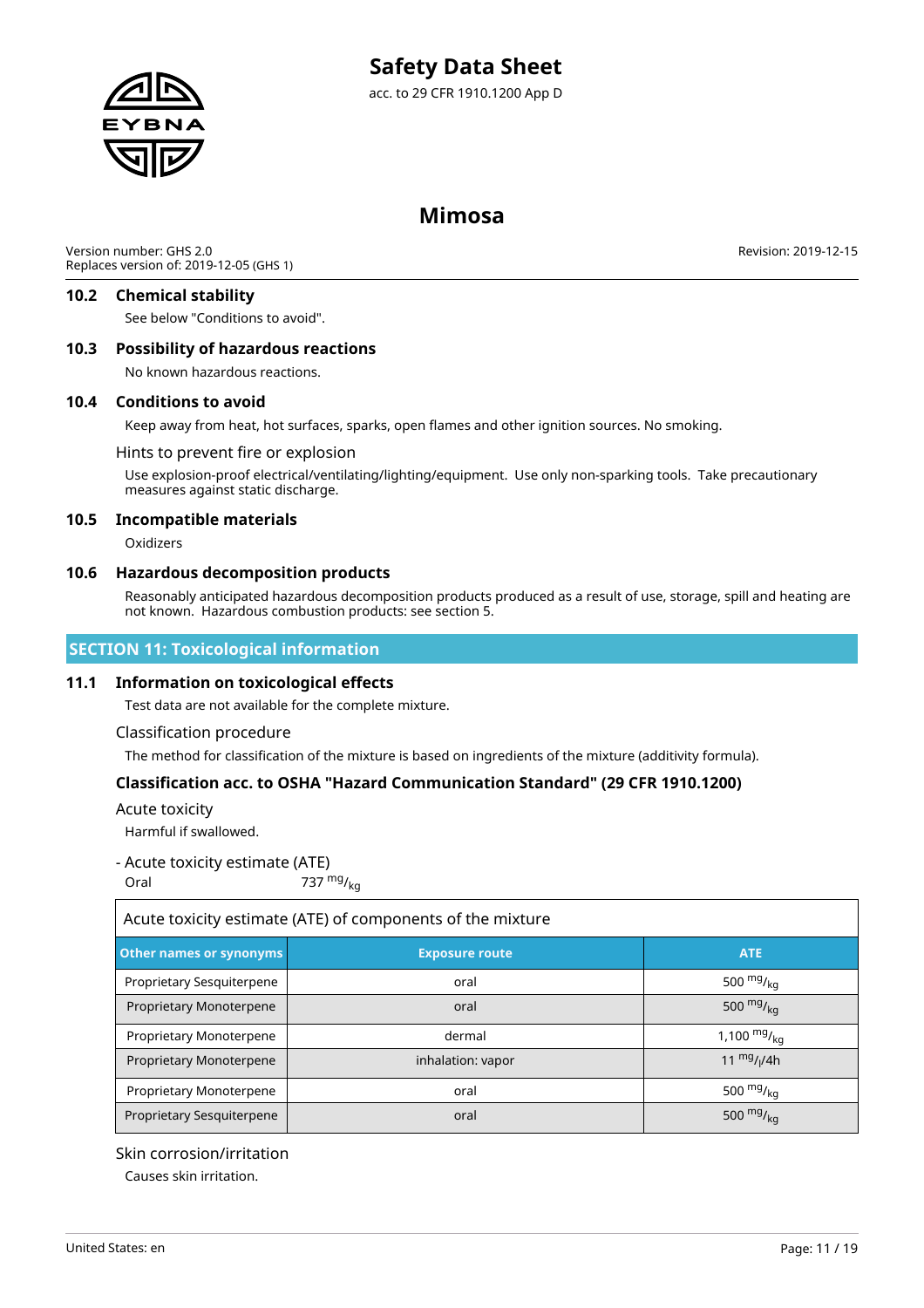

### **Mimosa**

Version number: GHS 2.0 Replaces version of: 2019-12-05 (GHS 1)

Revision: 2019-12-15

### **10.2 Chemical stability**

See below "Conditions to avoid".

### **10.3 Possibility of hazardous reactions**

No known hazardous reactions.

### **10.4 Conditions to avoid**

Keep away from heat, hot surfaces, sparks, open flames and other ignition sources. No smoking.

### Hints to prevent fire or explosion

Use explosion-proof electrical/ventilating/lighting/equipment. Use only non-sparking tools. Take precautionary measures against static discharge.

### **10.5 Incompatible materials**

Oxidizers

### **10.6 Hazardous decomposition products**

Reasonably anticipated hazardous decomposition products produced as a result of use, storage, spill and heating are not known. Hazardous combustion products: see section 5.

### **SECTION 11: Toxicological information**

### **11.1 Information on toxicological effects**

Test data are not available for the complete mixture.

### Classification procedure

The method for classification of the mixture is based on ingredients of the mixture (additivity formula).

### **Classification acc. to OSHA "Hazard Communication Standard" (29 CFR 1910.1200)**

### Acute toxicity

 $\overline{1}$ 

Harmful if swallowed.

### - Acute toxicity estimate (ATE)

Oral  $737 \frac{mg}{kq}$ 

| Acute toxicity estimate (ATE) of components of the mixture     |                   |                      |  |
|----------------------------------------------------------------|-------------------|----------------------|--|
| Other names or synonyms<br><b>ATE</b><br><b>Exposure route</b> |                   |                      |  |
| Proprietary Sesquiterpene                                      | oral              | 500 $mgr{_{\rm ka}}$ |  |
| Proprietary Monoterpene                                        | oral              | 500 $mg/kq$          |  |
| Proprietary Monoterpene                                        | dermal            | 1,100 $mg/_{kq}$     |  |
| Proprietary Monoterpene                                        | inhalation: vapor | 11 $mg/1/4h$         |  |
| Proprietary Monoterpene                                        | oral              | 500 $mg/kq$          |  |
| Proprietary Sesquiterpene                                      | oral              | 500 $mg/kq$          |  |

### Skin corrosion/irritation

Causes skin irritation.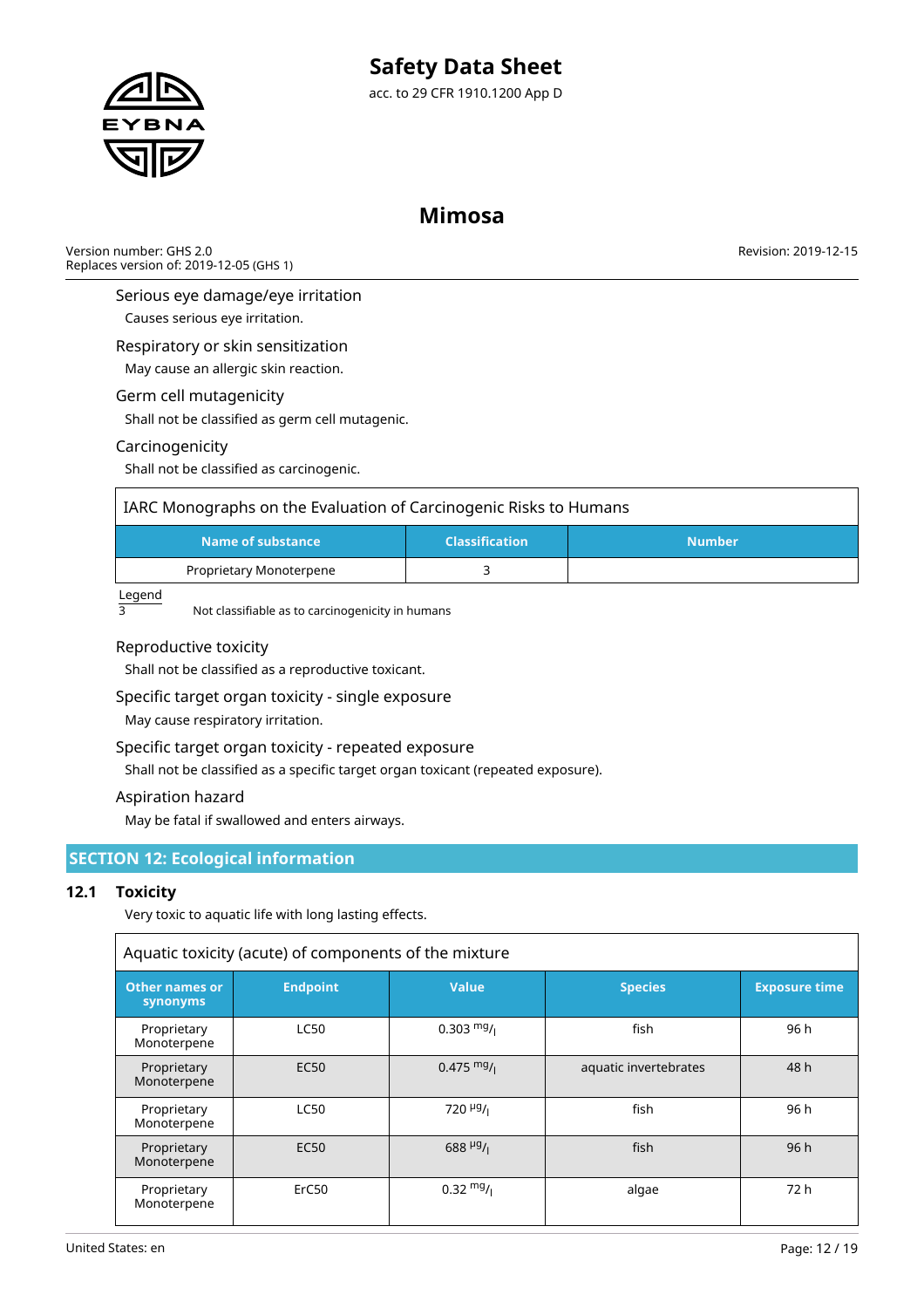

# **Mimosa**

Version number: GHS 2.0 Replaces version of: 2019-12-05 (GHS 1) Revision: 2019-12-15

Serious eye damage/eye irritation

Causes serious eye irritation.

Respiratory or skin sensitization

May cause an allergic skin reaction.

### Germ cell mutagenicity

Shall not be classified as germ cell mutagenic.

### Carcinogenicity

Shall not be classified as carcinogenic.

| IARC Monographs on the Evaluation of Carcinogenic Risks to Humans |  |  |  |  |
|-------------------------------------------------------------------|--|--|--|--|
| Name of substance<br><b>Classification</b><br><b>Number</b>       |  |  |  |  |
| Proprietary Monoterpene                                           |  |  |  |  |

Legend

3 Not classifiable as to carcinogenicity in humans

### Reproductive toxicity

Shall not be classified as a reproductive toxicant.

### Specific target organ toxicity - single exposure

May cause respiratory irritation.

### Specific target organ toxicity - repeated exposure

Shall not be classified as a specific target organ toxicant (repeated exposure).

### Aspiration hazard

May be fatal if swallowed and enters airways.

### **SECTION 12: Ecological information**

### **12.1 Toxicity**

Very toxic to aquatic life with long lasting effects.

| Aquatic toxicity (acute) of components of the mixture                                                                                  |                                 |                                    |                       |                      |
|----------------------------------------------------------------------------------------------------------------------------------------|---------------------------------|------------------------------------|-----------------------|----------------------|
| <b>Other names or</b><br>synonyms                                                                                                      | <b>Endpoint</b><br><b>Value</b> |                                    |                       | <b>Exposure time</b> |
| $0.303 \frac{mg}{l}$<br><b>LC50</b><br>Proprietary<br>Monoterpene<br>$0.475 \frac{mg}{l}$<br><b>EC50</b><br>Proprietary<br>Monoterpene |                                 | fish                               | 96 h                  |                      |
|                                                                                                                                        |                                 |                                    | aquatic invertebrates | 48 h                 |
| Proprietary<br>Monoterpene                                                                                                             | <b>LC50</b>                     | $720$ <sup>µg</sup> / <sub>1</sub> | fish                  | 96 h                 |
| 688 $\frac{\mu g}{I}$<br><b>EC50</b><br>Proprietary<br>Monoterpene                                                                     |                                 |                                    | fish                  | 96h                  |
| Proprietary<br>Monoterpene                                                                                                             | ErC <sub>50</sub>               | $0.32 \frac{mg}{l}$                | algae                 | 72 h                 |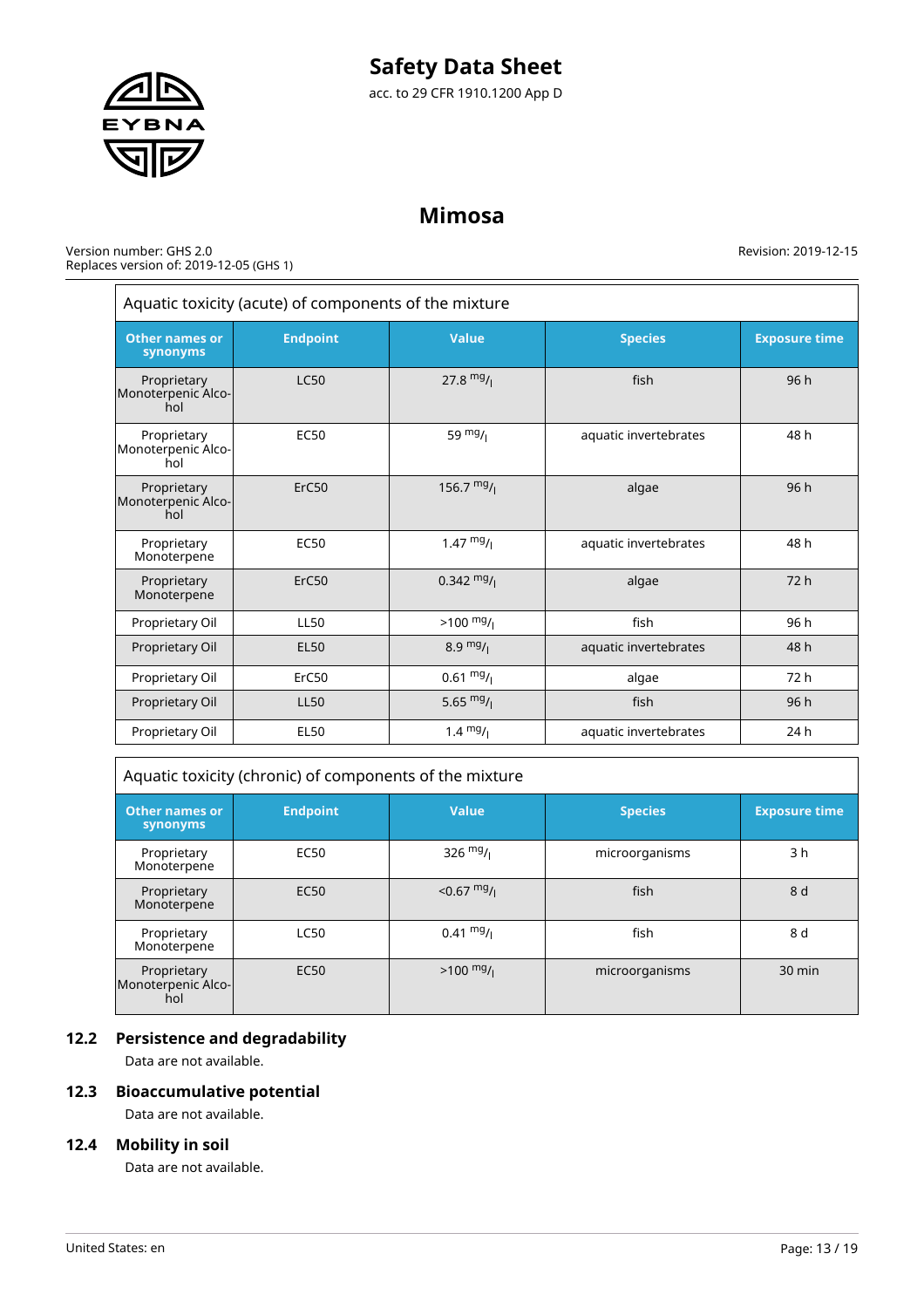

# **Mimosa**

Version number: GHS 2.0 Replaces version of: 2019-12-05 (GHS 1) Revision: 2019-12-15

| Aquatic toxicity (acute) of components of the mixture                                                          |                                                   |                      |                       |      |
|----------------------------------------------------------------------------------------------------------------|---------------------------------------------------|----------------------|-----------------------|------|
| <b>Value</b><br><b>Exposure time</b><br><b>Endpoint</b><br><b>Species</b><br><b>Other names or</b><br>synonyms |                                                   |                      |                       |      |
| Proprietary<br>Monoterpenic Alco-<br>hol                                                                       | <b>LC50</b>                                       | 27.8 $mg/1$          | fish                  | 96 h |
| Proprietary<br>Monoterpenic Alco-<br>hol                                                                       | 59 $mg/1$<br><b>EC50</b><br>aquatic invertebrates |                      | 48 h                  |      |
| Proprietary<br>Monoterpenic Alco-<br>hol                                                                       | ErC50                                             | 156.7 $mg/1$         | algae                 | 96h  |
| Proprietary<br>Monoterpene                                                                                     | <b>EC50</b>                                       | 1.47 $mg/1$          | aquatic invertebrates | 48 h |
| Proprietary<br>Monoterpene                                                                                     | ErC50                                             | $0.342 \frac{mg}{l}$ | algae                 | 72h  |
| Proprietary Oil                                                                                                | <b>LL50</b>                                       | $>100 \frac{mg}{l}$  | fish                  | 96 h |
| Proprietary Oil                                                                                                | <b>EL50</b>                                       | 8.9 $mg/1$           | aquatic invertebrates | 48 h |
| Proprietary Oil                                                                                                | ErC50                                             | $0.61 \frac{mg}{l}$  | algae                 | 72 h |
| Proprietary Oil                                                                                                | <b>LL50</b>                                       | 5.65 $mg/1$          | fish                  | 96h  |
| Proprietary Oil                                                                                                | <b>EL50</b>                                       | 1.4 $mg/1$           | aquatic invertebrates | 24 h |

| Aquatic toxicity (chronic) of components of the mixture                          |                  |                     |                |                      |
|----------------------------------------------------------------------------------|------------------|---------------------|----------------|----------------------|
| <b>Endpoint</b><br>Value.<br><b>Other names or</b><br><b>Species</b><br>synonyms |                  |                     |                | <b>Exposure time</b> |
| Proprietary<br>Monoterpene                                                       | EC50             | 326 $mg/1$          | microorganisms | 3 h                  |
| Proprietary<br>Monoterpene                                                       | EC <sub>50</sub> | $< 0.67$ mg/        | fish           | 8 d                  |
| Proprietary<br>Monoterpene                                                       | <b>LC50</b>      | $0.41 \frac{mg}{l}$ | fish           | 8 d                  |
| Proprietary<br>Monoterpenic Alco-<br>hol                                         | <b>EC50</b>      | $>100$ mg/          | microorganisms | $30 \text{ min}$     |

### **12.2 Persistence and degradability**

Data are not available.

### **12.3 Bioaccumulative potential**

Data are not available.

### **12.4 Mobility in soil**

Data are not available.

 $\overline{1}$ 

٦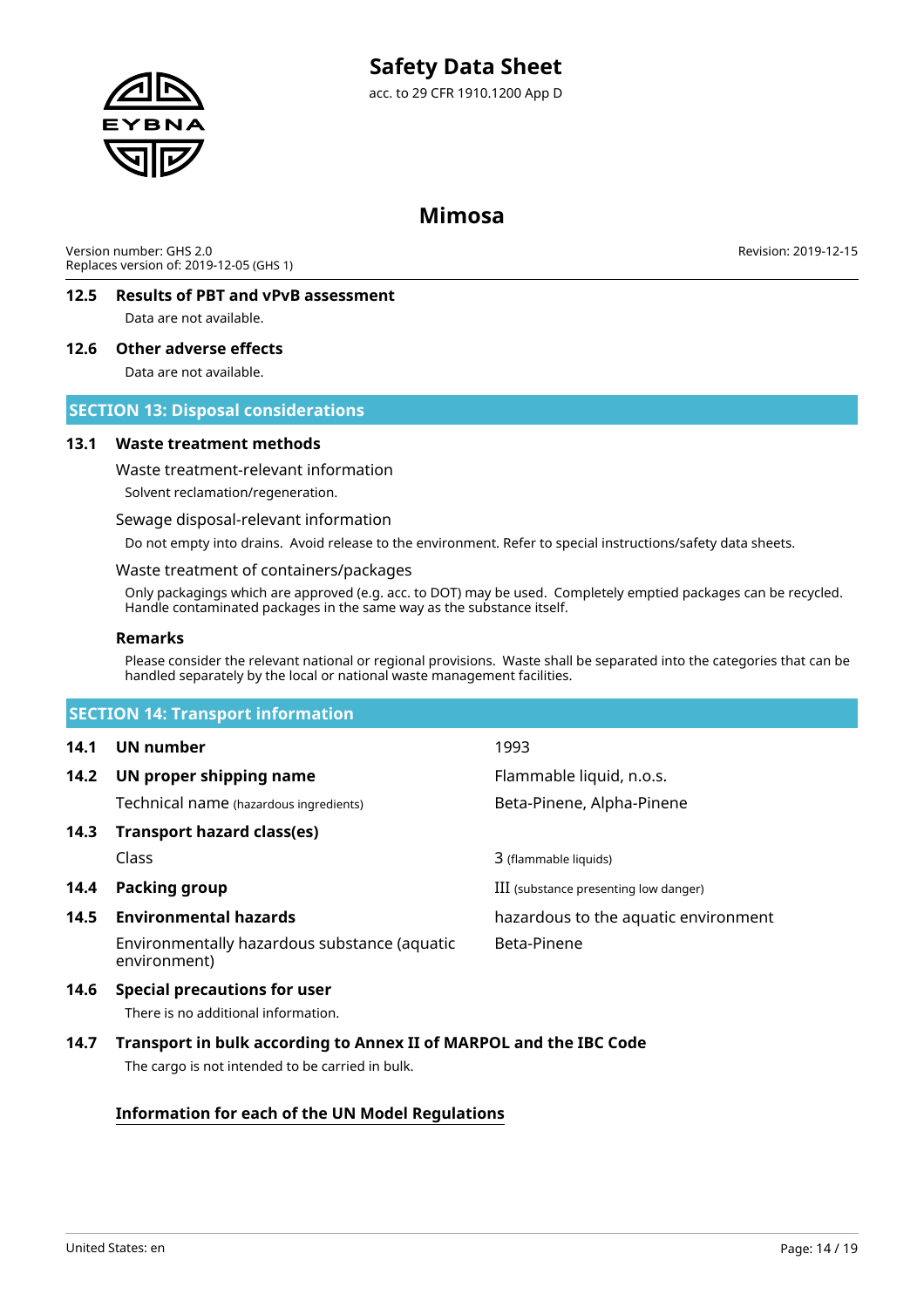

### **Mimosa**

Version number: GHS 2.0 Replaces version of: 2019-12-05 (GHS 1) Revision: 2019-12-15

### **12.5 Results of PBT and vPvB assessment**

Data are not available.

### **12.6 Other adverse effects**

Data are not available.

### **SECTION 13: Disposal considerations**

### **13.1 Waste treatment methods**

Waste treatment-relevant information

Solvent reclamation/regeneration.

Sewage disposal-relevant information

Do not empty into drains. Avoid release to the environment. Refer to special instructions/safety data sheets.

### Waste treatment of containers/packages

Only packagings which are approved (e.g. acc. to DOT) may be used. Completely emptied packages can be recycled. Handle contaminated packages in the same way as the substance itself.

### **Remarks**

Please consider the relevant national or regional provisions. Waste shall be separated into the categories that can be handled separately by the local or national waste management facilities.

|      | <b>SECTION 14: Transport information</b>                     |                                       |  |  |  |
|------|--------------------------------------------------------------|---------------------------------------|--|--|--|
| 14.1 | UN number                                                    | 1993                                  |  |  |  |
| 14.2 | UN proper shipping name                                      | Flammable liquid, n.o.s.              |  |  |  |
|      | Technical name (hazardous ingredients)                       | Beta-Pinene, Alpha-Pinene             |  |  |  |
| 14.3 | Transport hazard class(es)                                   |                                       |  |  |  |
|      | Class                                                        | 3 (flammable liquids)                 |  |  |  |
| 14.4 | Packing group                                                | III (substance presenting low danger) |  |  |  |
| 14.5 | <b>Environmental hazards</b>                                 | hazardous to the aquatic environment  |  |  |  |
|      | Environmentally hazardous substance (aquatic<br>environment) | Beta-Pinene                           |  |  |  |
|      |                                                              |                                       |  |  |  |

### **14.6 Special precautions for user**

There is no additional information.

### **14.7 Transport in bulk according to Annex II of MARPOL and the IBC Code**

The cargo is not intended to be carried in bulk.

### **Information for each of the UN Model Regulations**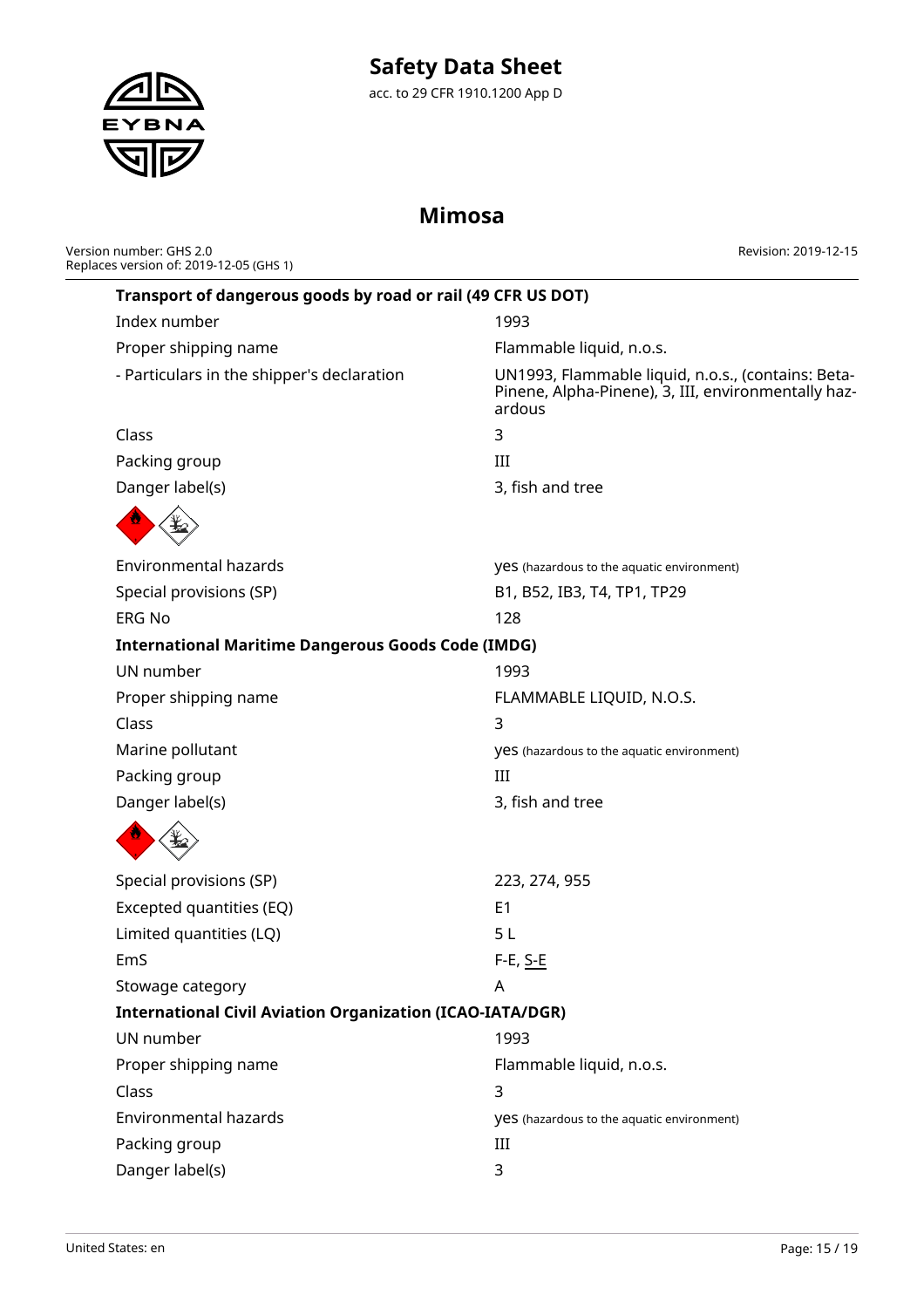# **Safety Data Sheet**

acc. to 29 CFR 1910.1200 App D

# **Mimosa**

| Version number: GHS 2.0                 |  |
|-----------------------------------------|--|
| Replaces version of: 2019-12-05 (GHS 1) |  |

EYBNA

Revision: 2019-12-15

|                                                           | Transport of dangerous goods by road or rail (49 CFR US DOT)     |                                                                                                                     |
|-----------------------------------------------------------|------------------------------------------------------------------|---------------------------------------------------------------------------------------------------------------------|
|                                                           | Index number                                                     | 1993                                                                                                                |
|                                                           | Proper shipping name                                             | Flammable liquid, n.o.s.                                                                                            |
|                                                           | - Particulars in the shipper's declaration                       | UN1993, Flammable liquid, n.o.s., (contains: Beta-<br>Pinene, Alpha-Pinene), 3, III, environmentally haz-<br>ardous |
|                                                           | Class                                                            | 3                                                                                                                   |
|                                                           | Packing group                                                    | III                                                                                                                 |
|                                                           | Danger label(s)                                                  | 3, fish and tree                                                                                                    |
|                                                           |                                                                  |                                                                                                                     |
|                                                           | <b>Environmental hazards</b>                                     | <b>yes</b> (hazardous to the aquatic environment)                                                                   |
|                                                           | Special provisions (SP)                                          | B1, B52, IB3, T4, TP1, TP29                                                                                         |
|                                                           | <b>ERG No</b>                                                    | 128                                                                                                                 |
| <b>International Maritime Dangerous Goods Code (IMDG)</b> |                                                                  |                                                                                                                     |
| UN number                                                 |                                                                  | 1993                                                                                                                |
|                                                           | Proper shipping name                                             | FLAMMABLE LIQUID, N.O.S.                                                                                            |
|                                                           | Class                                                            | 3                                                                                                                   |
|                                                           | Marine pollutant                                                 | <b>yes</b> (hazardous to the aquatic environment)                                                                   |
|                                                           | Packing group                                                    | III                                                                                                                 |
|                                                           | Danger label(s)                                                  | 3, fish and tree                                                                                                    |
|                                                           |                                                                  |                                                                                                                     |
|                                                           | Special provisions (SP)                                          | 223, 274, 955                                                                                                       |
|                                                           | Excepted quantities (EQ)                                         | E <sub>1</sub>                                                                                                      |
|                                                           | Limited quantities (LQ)                                          | 5L                                                                                                                  |
|                                                           | EmS                                                              | F-E, S-E                                                                                                            |
|                                                           | Stowage category                                                 | A                                                                                                                   |
|                                                           | <b>International Civil Aviation Organization (ICAO-IATA/DGR)</b> |                                                                                                                     |
|                                                           | UN number                                                        | 1993                                                                                                                |
|                                                           | Proper shipping name                                             | Flammable liquid, n.o.s.                                                                                            |
|                                                           | Class                                                            | 3                                                                                                                   |
|                                                           | <b>Environmental hazards</b>                                     | <b>yes</b> (hazardous to the aquatic environment)                                                                   |
|                                                           | Packing group                                                    | Ш                                                                                                                   |
|                                                           | Danger label(s)                                                  | 3                                                                                                                   |
|                                                           |                                                                  |                                                                                                                     |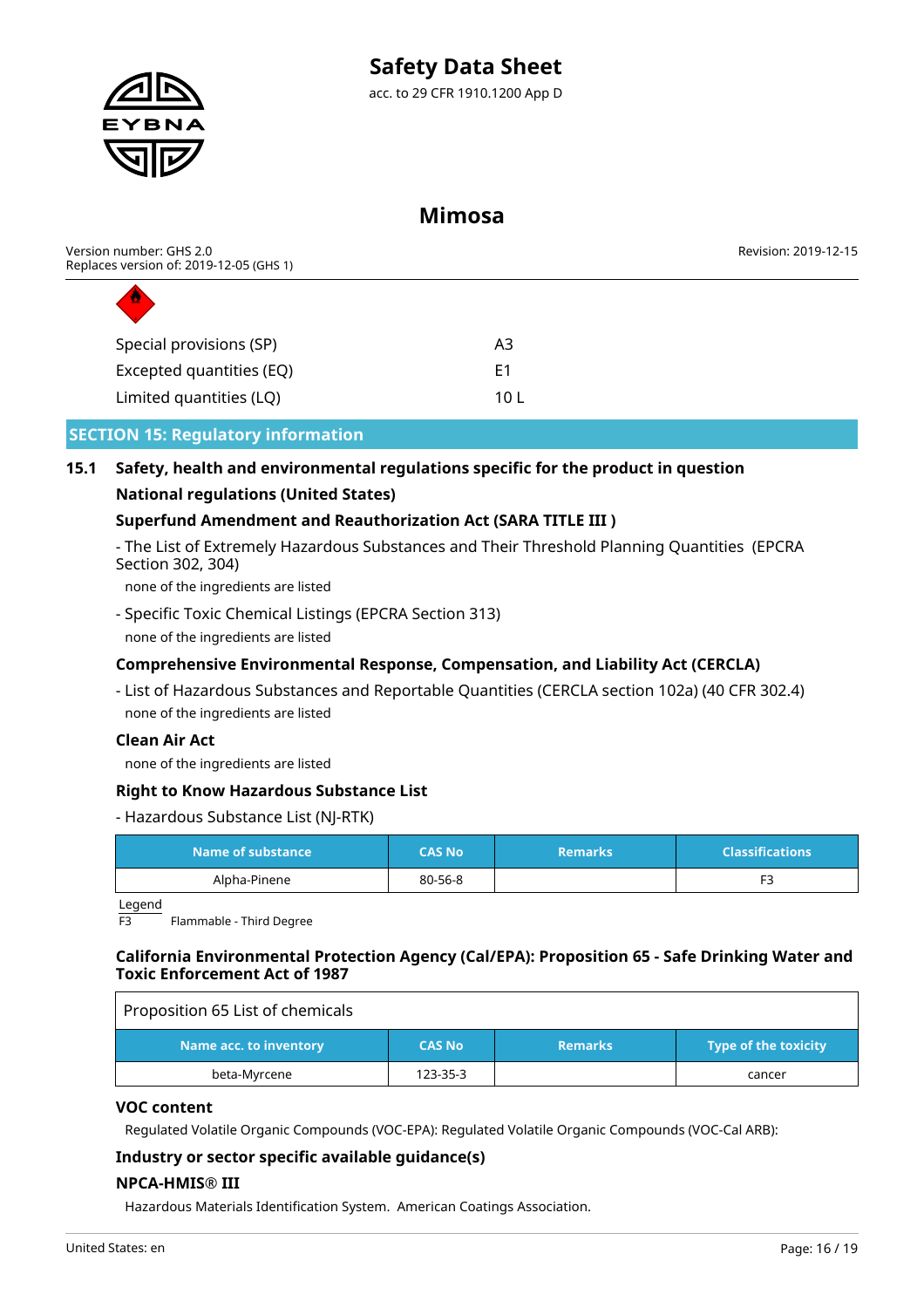

### **Mimosa**

| Version number: GHS 2.0<br>Replaces version of: 2019-12-05 (GHS 1) |      | Revision: 2019-12-15 |
|--------------------------------------------------------------------|------|----------------------|
| D                                                                  |      |                      |
| Special provisions (SP)                                            | A3   |                      |
| Excepted quantities (EQ)                                           | E1   |                      |
| Limited quantities (LQ)                                            | 10 L |                      |

### **SECTION 15: Regulatory information**

### **15.1 Safety, health and environmental regulations specific for the product in question National regulations (United States)**

### **Superfund Amendment and Reauthorization Act (SARA TITLE III )**

- The List of Extremely Hazardous Substances and Their Threshold Planning Quantities (EPCRA Section 302, 304)

none of the ingredients are listed

- Specific Toxic Chemical Listings (EPCRA Section 313)

none of the ingredients are listed

### **Comprehensive Environmental Response, Compensation, and Liability Act (CERCLA)**

- List of Hazardous Substances and Reportable Quantities (CERCLA section 102a) (40 CFR 302.4) none of the ingredients are listed

### **Clean Air Act**

none of the ingredients are listed

### **Right to Know Hazardous Substance List**

### - Hazardous Substance List (NJ-RTK)

| Name of substance | <b>CAS No</b> | <b>Remarks</b> | <b>Classifications</b> |
|-------------------|---------------|----------------|------------------------|
| Alpha-Pinene      | 80-56-8       |                | -                      |

Legend

Flammable - Third Degree

### **California Environmental Protection Agency (Cal/EPA): Proposition 65 - Safe Drinking Water and Toxic Enforcement Act of 1987**

| Proposition 65 List of chemicals |               |                |                             |
|----------------------------------|---------------|----------------|-----------------------------|
| Name acc. to inventory           | <b>CAS No</b> | <b>Remarks</b> | <b>Type of the toxicity</b> |
| beta-Myrcene                     | 123-35-3      |                | cancer                      |

### **VOC content**

Regulated Volatile Organic Compounds (VOC-EPA): Regulated Volatile Organic Compounds (VOC-Cal ARB):

### **Industry or sector specific available guidance(s)**

### **NPCA-HMIS® III**

Hazardous Materials Identification System. American Coatings Association.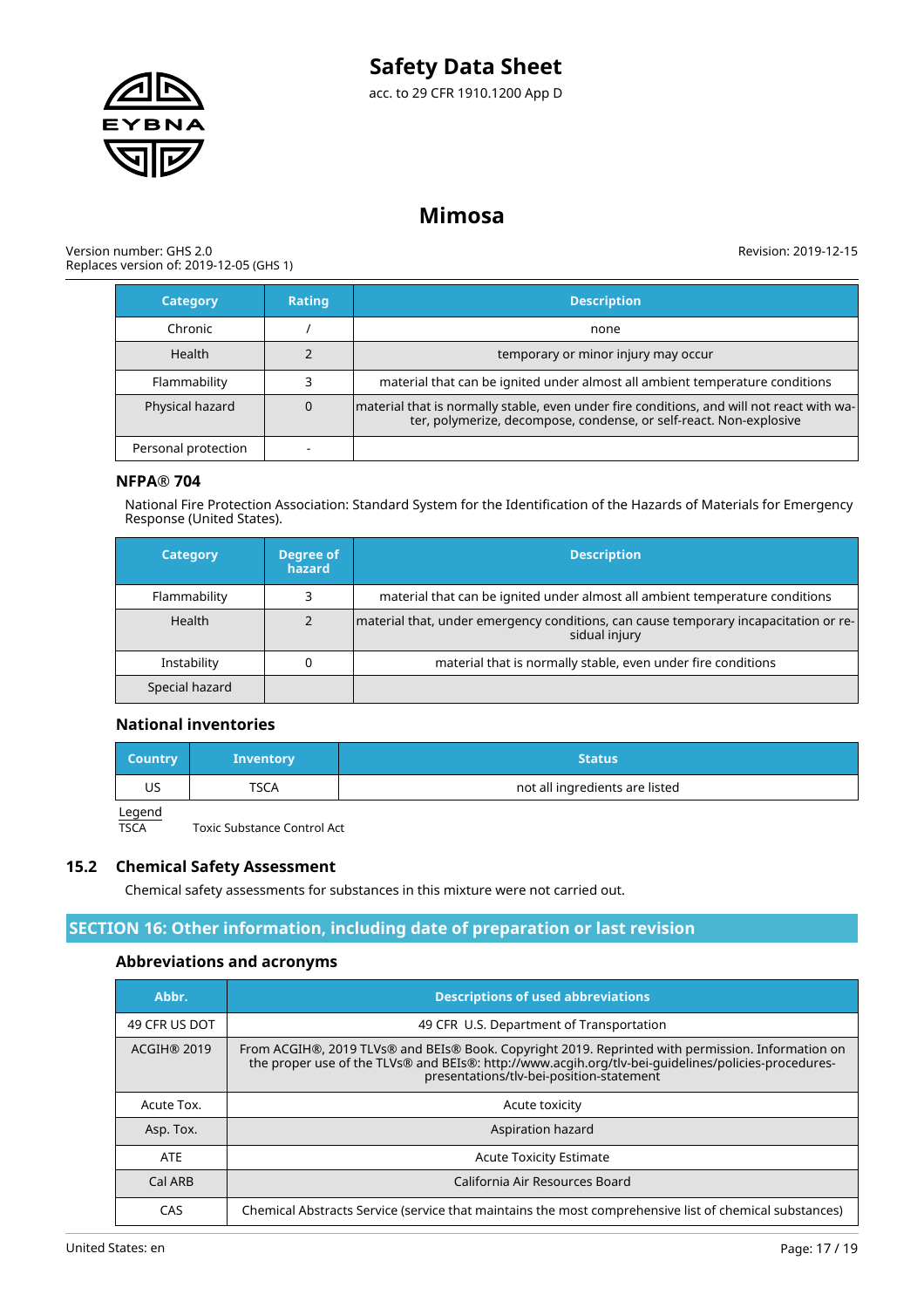



# **Mimosa**

#### Version number: GHS 2.0 Replaces version of: 2019-12-05 (GHS 1)

Revision: 2019-12-15

| <b>Category</b>     | <b>Rating</b> | <b>Description</b>                                                                                                                                              |
|---------------------|---------------|-----------------------------------------------------------------------------------------------------------------------------------------------------------------|
| Chronic             |               | none                                                                                                                                                            |
| <b>Health</b>       |               | temporary or minor injury may occur                                                                                                                             |
| Flammability        |               | material that can be ignited under almost all ambient temperature conditions                                                                                    |
| Physical hazard     |               | material that is normally stable, even under fire conditions, and will not react with wa-<br>ter, polymerize, decompose, condense, or self-react. Non-explosive |
| Personal protection |               |                                                                                                                                                                 |

### **NFPA® 704**

National Fire Protection Association: Standard System for the Identification of the Hazards of Materials for Emergency Response (United States).

| <b>Category</b> | <b>Degree of</b><br>hazard | <b>Description</b>                                                                                    |
|-----------------|----------------------------|-------------------------------------------------------------------------------------------------------|
| Flammability    |                            | material that can be ignited under almost all ambient temperature conditions                          |
| Health          |                            | material that, under emergency conditions, can cause temporary incapacitation or re-<br>sidual injury |
| Instability     |                            | material that is normally stable, even under fire conditions                                          |
| Special hazard  |                            |                                                                                                       |

### **National inventories**

| <b>Country</b> | <b>Inventory</b> | Status                         |
|----------------|------------------|--------------------------------|
| US             | TSCA             | not all ingredients are listed |
| المصمصا        |                  |                                |

Legend<br>TSCA

Toxic Substance Control Act

### **15.2 Chemical Safety Assessment**

Chemical safety assessments for substances in this mixture were not carried out.

### **SECTION 16: Other information, including date of preparation or last revision**

### **Abbreviations and acronyms**

| Abbr.              | <b>Descriptions of used abbreviations</b>                                                                                                                                                                                                            |
|--------------------|------------------------------------------------------------------------------------------------------------------------------------------------------------------------------------------------------------------------------------------------------|
| 49 CFR US DOT      | 49 CFR U.S. Department of Transportation                                                                                                                                                                                                             |
| <b>ACGIH® 2019</b> | From ACGIH®, 2019 TLVs® and BEIs® Book. Copyright 2019. Reprinted with permission. Information on<br>the proper use of the TLVs® and BEIs®: http://www.acgih.org/tlv-bei-guidelines/policies-procedures-<br>presentations/tlv-bei-position-statement |
| Acute Tox.         | Acute toxicity                                                                                                                                                                                                                                       |
| Asp. Tox.          | Aspiration hazard                                                                                                                                                                                                                                    |
| <b>ATE</b>         | <b>Acute Toxicity Estimate</b>                                                                                                                                                                                                                       |
| Cal ARB            | California Air Resources Board                                                                                                                                                                                                                       |
| CAS                | Chemical Abstracts Service (service that maintains the most comprehensive list of chemical substances)                                                                                                                                               |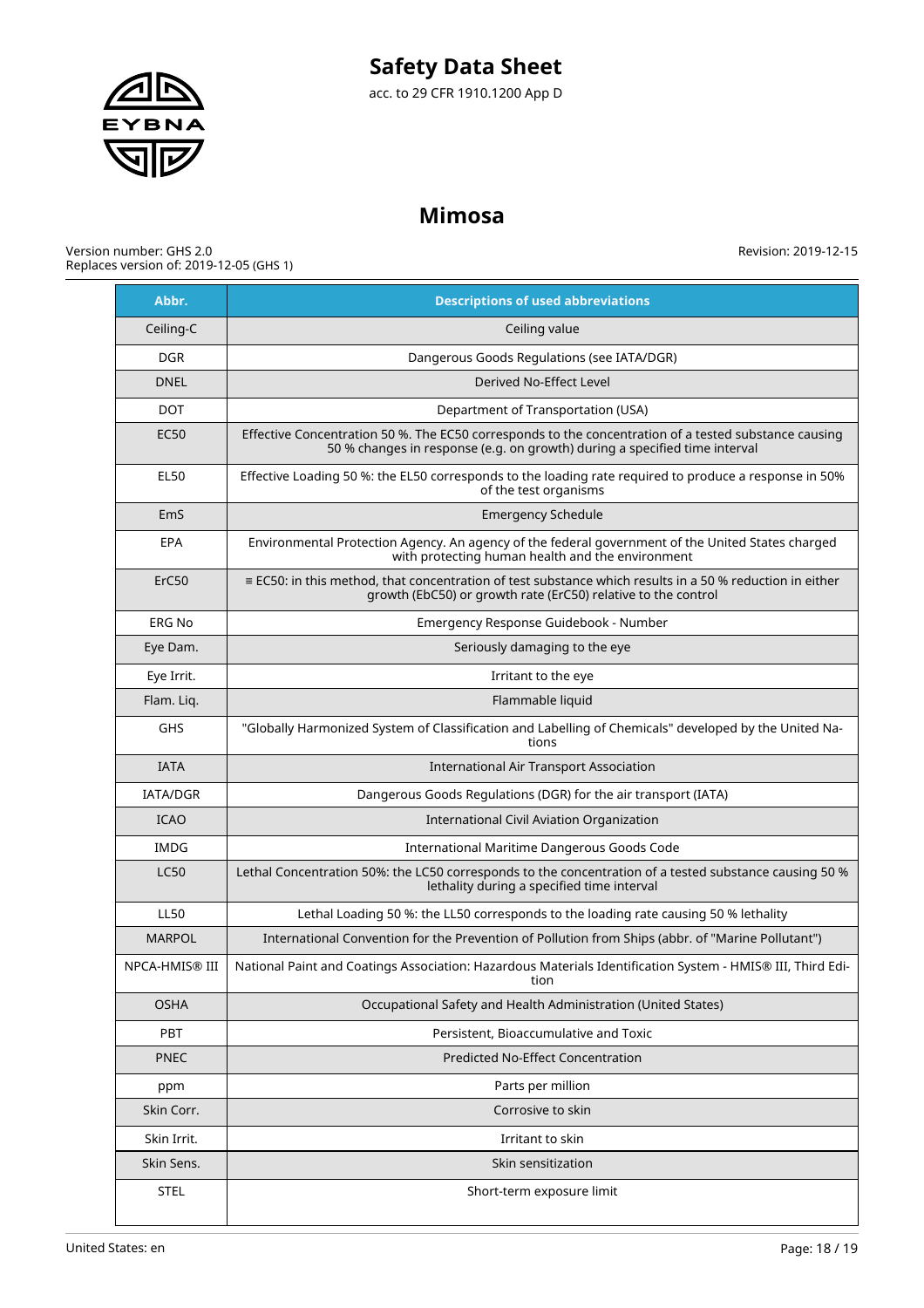

# **Mimosa**

Version number: GHS 2.0 Replaces version of: 2019-12-05 (GHS 1)

**Abbr. Descriptions of used abbreviations** Ceiling-C and Ceiling value DGR Dangerous Goods Regulations (see IATA/DGR) DNEL Derived No-Effect Level DOT PERSONAL DOT Department of Transportation (USA) EC50 Effective Concentration 50 %. The EC50 corresponds to the concentration of a tested substance causing 50 % changes in response (e.g. on growth) during a specified time interval EL50 Effective Loading 50 %: the EL50 corresponds to the loading rate required to produce a response in 50% of the test organisms EmS Emergency Schedule EPA Environmental Protection Agency. An agency of the federal government of the United States charged with protecting human health and the environment ErC50  $\parallel$  = EC50: in this method, that concentration of test substance which results in a 50 % reduction in either growth (EbC50) or growth rate (ErC50) relative to the control ERG No Emergency Response Guidebook - Number Eye Dam.  $\Box$  Seriously damaging to the eye Eye Irrit. In the eye Irritant to the eye Flam. Liq. Production of the contract of the contract of the Flammable liquid GHS "Globally Harmonized System of Classification and Labelling of Chemicals" developed by the United Nations IATA International Air Transport Association IATA/DGR Dangerous Goods Regulations (DGR) for the air transport (IATA) ICAO International Civil Aviation Organization IMDG International Maritime Dangerous Goods Code LC50 Lethal Concentration 50%: the LC50 corresponds to the concentration of a tested substance causing 50 % lethality during a specified time interval LL50 Lethal Loading 50 %: the LL50 corresponds to the loading rate causing 50 % lethality MARPOL International Convention for the Prevention of Pollution from Ships (abbr. of "Marine Pollutant") NPCA-HMIS® III National Paint and Coatings Association: Hazardous Materials Identification System - HMIS® III, Third Edition OSHA **COLLET CONSTRESS CONSTRESS OF A COLLET** OCcupational Safety and Health Administration (United States) PBT PBT PET PERSISTENT PERSISTENT, Bioaccumulative and Toxic PNEC Predicted No-Effect Concentration ppm Parts per million Skin Corr. <sup>2</sup><br>
Skin Corrosive to skin Skin Irrit. In the skin is a set of the skin Irritant to skin in the skin Irritant to skin in the skin is a set of the skin in the skin is a set of the skin in the skin is a set of the skin in the skin is a set of the skin Skin Sens. Skin sensitization STEL | STEL | Short-term exposure limit

Revision: 2019-12-15